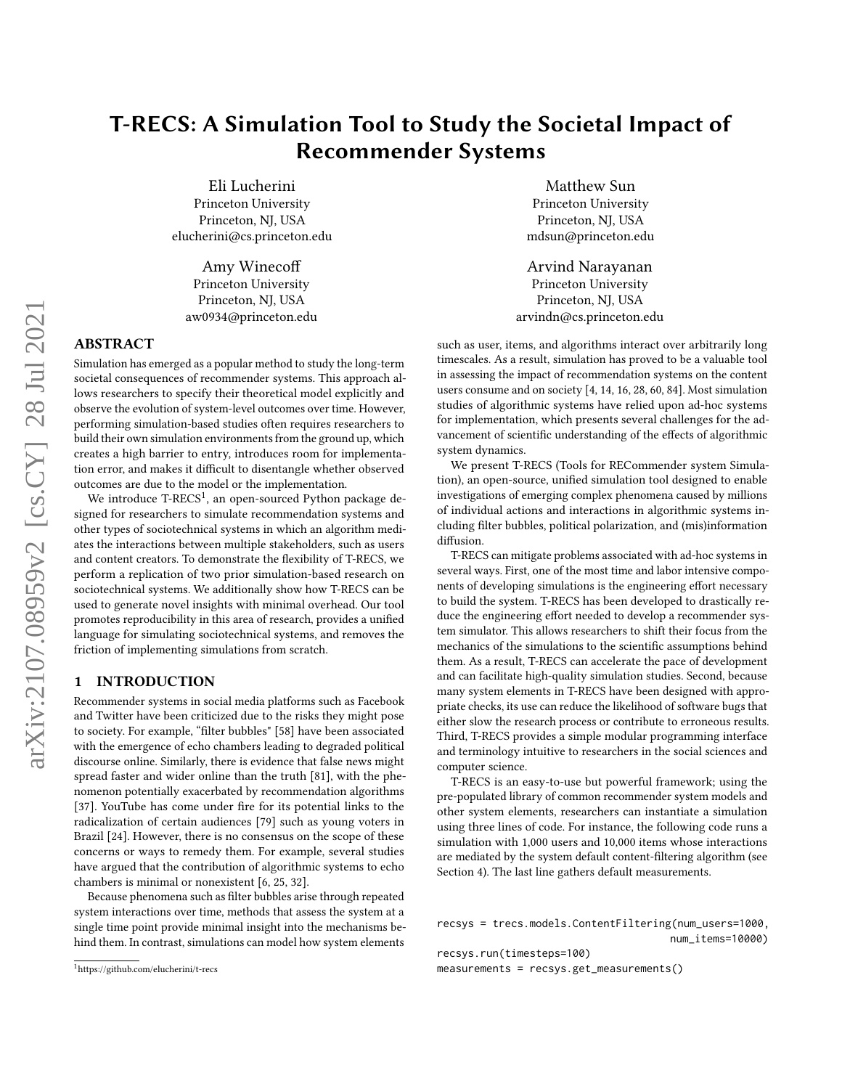# T-RECS: A Simulation Tool to Study the Societal Impact of Recommender Systems

Eli Lucherini Princeton University Princeton, NJ, USA elucherini@cs.princeton.edu

Amy Winecoff Princeton University Princeton, NJ, USA aw0934@princeton.edu

# ABSTRACT

Simulation has emerged as a popular method to study the long-term societal consequences of recommender systems. This approach allows researchers to specify their theoretical model explicitly and observe the evolution of system-level outcomes over time. However, performing simulation-based studies often requires researchers to build their own simulation environments from the ground up, which creates a high barrier to entry, introduces room for implementation error, and makes it difficult to disentangle whether observed outcomes are due to the model or the implementation.

We introduce T- $RECS^1$  $RECS^1$ , an open-sourced Python package designed for researchers to simulate recommendation systems and other types of sociotechnical systems in which an algorithm mediates the interactions between multiple stakeholders, such as users and content creators. To demonstrate the flexibility of T-RECS, we perform a replication of two prior simulation-based research on sociotechnical systems. We additionally show how T-RECS can be used to generate novel insights with minimal overhead. Our tool promotes reproducibility in this area of research, provides a unified language for simulating sociotechnical systems, and removes the friction of implementing simulations from scratch.

# 1 INTRODUCTION

Recommender systems in social media platforms such as Facebook and Twitter have been criticized due to the risks they might pose to society. For example, "filter bubbles" [\[58\]](#page-13-0) have been associated with the emergence of echo chambers leading to degraded political discourse online. Similarly, there is evidence that false news might spread faster and wider online than the truth [\[81\]](#page-13-1), with the phenomenon potentially exacerbated by recommendation algorithms [\[37\]](#page-12-0). YouTube has come under fire for its potential links to the radicalization of certain audiences [\[79\]](#page-13-2) such as young voters in Brazil [\[24\]](#page-12-1). However, there is no consensus on the scope of these concerns or ways to remedy them. For example, several studies have argued that the contribution of algorithmic systems to echo chambers is minimal or nonexistent [\[6,](#page-12-2) [25,](#page-12-3) [32\]](#page-12-4).

Because phenomena such as filter bubbles arise through repeated system interactions over time, methods that assess the system at a single time point provide minimal insight into the mechanisms behind them. In contrast, simulations can model how system elements

Matthew Sun Princeton University Princeton, NJ, USA mdsun@princeton.edu

Arvind Narayanan Princeton University Princeton, NJ, USA arvindn@cs.princeton.edu

such as user, items, and algorithms interact over arbitrarily long timescales. As a result, simulation has proved to be a valuable tool in assessing the impact of recommendation systems on the content users consume and on society [\[4,](#page-12-5) [14,](#page-12-6) [16,](#page-12-7) [28,](#page-12-8) [60,](#page-13-3) [84\]](#page-13-4). Most simulation studies of algorithmic systems have relied upon ad-hoc systems for implementation, which presents several challenges for the advancement of scientific understanding of the effects of algorithmic system dynamics.

We present T-RECS (Tools for RECommender system Simulation), an open-source, unified simulation tool designed to enable investigations of emerging complex phenomena caused by millions of individual actions and interactions in algorithmic systems including filter bubbles, political polarization, and (mis)information diffusion.

T-RECS can mitigate problems associated with ad-hoc systems in several ways. First, one of the most time and labor intensive components of developing simulations is the engineering effort necessary to build the system. T-RECS has been developed to drastically reduce the engineering effort needed to develop a recommender system simulator. This allows researchers to shift their focus from the mechanics of the simulations to the scientific assumptions behind them. As a result, T-RECS can accelerate the pace of development and can facilitate high-quality simulation studies. Second, because many system elements in T-RECS have been designed with appropriate checks, its use can reduce the likelihood of software bugs that either slow the research process or contribute to erroneous results. Third, T-RECS provides a simple modular programming interface and terminology intuitive to researchers in the social sciences and computer science.

T-RECS is an easy-to-use but powerful framework; using the pre-populated library of common recommender system models and other system elements, researchers can instantiate a simulation using three lines of code. For instance, the following code runs a simulation with 1,000 users and 10,000 items whose interactions are mediated by the system default content-filtering algorithm (see Section [4\)](#page-4-0). The last line gathers default measurements.

recsys = trecs.models.ContentFiltering(num\_users=1000, num\_items=10000)

recsys.run(timesteps=100) measurements = recsys.get\_measurements()

<span id="page-0-0"></span><sup>1</sup><https://github.com/elucherini/t-recs>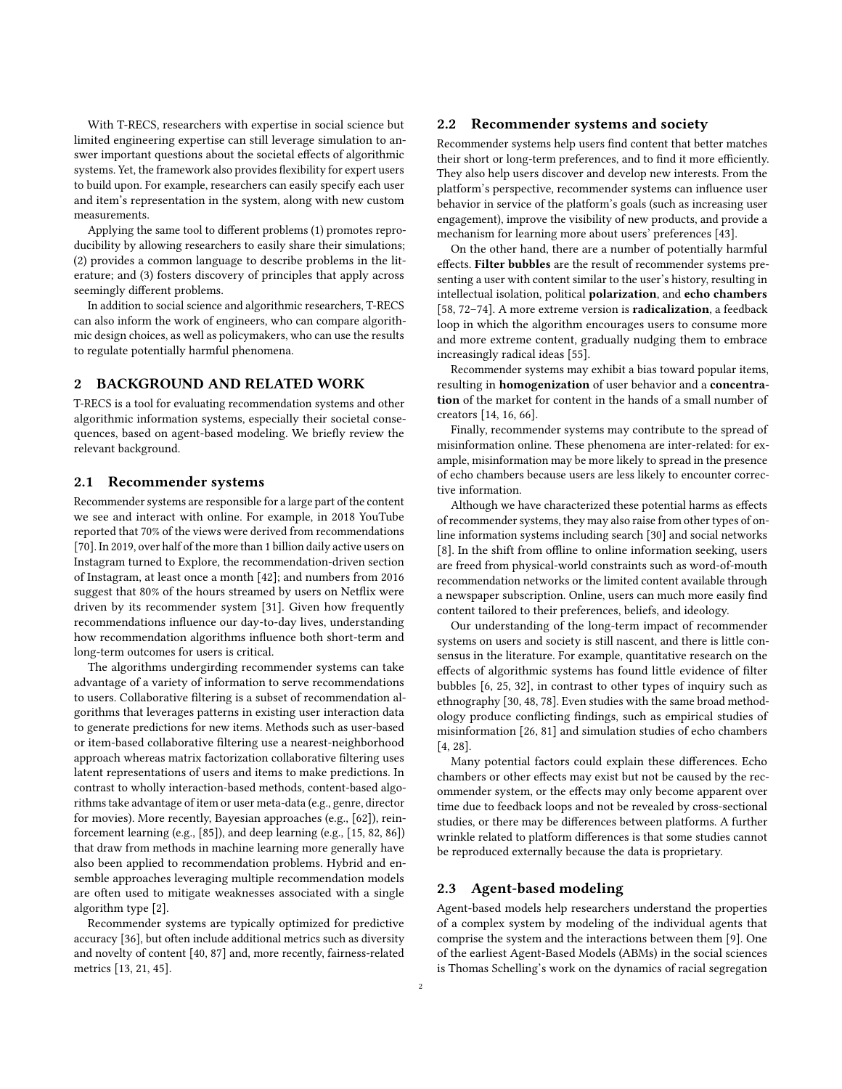With T-RECS, researchers with expertise in social science but limited engineering expertise can still leverage simulation to answer important questions about the societal effects of algorithmic systems. Yet, the framework also provides flexibility for expert users to build upon. For example, researchers can easily specify each user and item's representation in the system, along with new custom measurements.

Applying the same tool to different problems (1) promotes reproducibility by allowing researchers to easily share their simulations; (2) provides a common language to describe problems in the literature; and (3) fosters discovery of principles that apply across seemingly different problems.

In addition to social science and algorithmic researchers, T-RECS can also inform the work of engineers, who can compare algorithmic design choices, as well as policymakers, who can use the results to regulate potentially harmful phenomena.

# <span id="page-1-0"></span>2 BACKGROUND AND RELATED WORK

T-RECS is a tool for evaluating recommendation systems and other algorithmic information systems, especially their societal consequences, based on agent-based modeling. We briefly review the relevant background.

### 2.1 Recommender systems

Recommender systems are responsible for a large part of the content we see and interact with online. For example, in 2018 YouTube reported that 70% of the views were derived from recommendations [\[70\]](#page-13-5). In 2019, over half of the more than 1 billion daily active users on Instagram turned to Explore, the recommendation-driven section of Instagram, at least once a month [\[42\]](#page-12-9); and numbers from 2016 suggest that 80% of the hours streamed by users on Netflix were driven by its recommender system [\[31\]](#page-12-10). Given how frequently recommendations influence our day-to-day lives, understanding how recommendation algorithms influence both short-term and long-term outcomes for users is critical.

The algorithms undergirding recommender systems can take advantage of a variety of information to serve recommendations to users. Collaborative filtering is a subset of recommendation algorithms that leverages patterns in existing user interaction data to generate predictions for new items. Methods such as user-based or item-based collaborative filtering use a nearest-neighborhood approach whereas matrix factorization collaborative filtering uses latent representations of users and items to make predictions. In contrast to wholly interaction-based methods, content-based algorithms take advantage of item or user meta-data (e.g., genre, director for movies). More recently, Bayesian approaches (e.g., [\[62\]](#page-13-6)), reinforcement learning (e.g., [\[85\]](#page-13-7)), and deep learning (e.g., [\[15,](#page-12-11) [82,](#page-13-8) [86\]](#page-13-9)) that draw from methods in machine learning more generally have also been applied to recommendation problems. Hybrid and ensemble approaches leveraging multiple recommendation models are often used to mitigate weaknesses associated with a single algorithm type [\[2\]](#page-12-12).

Recommender systems are typically optimized for predictive accuracy [\[36\]](#page-12-13), but often include additional metrics such as diversity and novelty of content [\[40,](#page-12-14) [87\]](#page-13-10) and, more recently, fairness-related metrics [\[13,](#page-12-15) [21,](#page-12-16) [45\]](#page-12-17).

### 2.2 Recommender systems and society

Recommender systems help users find content that better matches their short or long-term preferences, and to find it more efficiently. They also help users discover and develop new interests. From the platform's perspective, recommender systems can influence user behavior in service of the platform's goals (such as increasing user engagement), improve the visibility of new products, and provide a mechanism for learning more about users' preferences [\[43\]](#page-12-18).

On the other hand, there are a number of potentially harmful effects. Filter bubbles are the result of recommender systems presenting a user with content similar to the user's history, resulting in intellectual isolation, political polarization, and echo chambers [\[58,](#page-13-0) [72–](#page-13-11)[74\]](#page-13-12). A more extreme version is radicalization, a feedback loop in which the algorithm encourages users to consume more and more extreme content, gradually nudging them to embrace increasingly radical ideas [\[55\]](#page-13-13).

Recommender systems may exhibit a bias toward popular items, resulting in homogenization of user behavior and a concentration of the market for content in the hands of a small number of creators [\[14,](#page-12-6) [16,](#page-12-7) [66\]](#page-13-14).

Finally, recommender systems may contribute to the spread of misinformation online. These phenomena are inter-related: for example, misinformation may be more likely to spread in the presence of echo chambers because users are less likely to encounter corrective information.

Although we have characterized these potential harms as effects of recommender systems, they may also raise from other types of online information systems including search [\[30\]](#page-12-19) and social networks [\[8\]](#page-12-20). In the shift from offline to online information seeking, users are freed from physical-world constraints such as word-of-mouth recommendation networks or the limited content available through a newspaper subscription. Online, users can much more easily find content tailored to their preferences, beliefs, and ideology.

Our understanding of the long-term impact of recommender systems on users and society is still nascent, and there is little consensus in the literature. For example, quantitative research on the effects of algorithmic systems has found little evidence of filter bubbles [\[6,](#page-12-2) [25,](#page-12-3) [32\]](#page-12-4), in contrast to other types of inquiry such as ethnography [\[30,](#page-12-19) [48,](#page-12-21) [78\]](#page-13-15). Even studies with the same broad methodology produce conflicting findings, such as empirical studies of misinformation [\[26,](#page-12-22) [81\]](#page-13-1) and simulation studies of echo chambers [\[4,](#page-12-5) [28\]](#page-12-8).

Many potential factors could explain these differences. Echo chambers or other effects may exist but not be caused by the recommender system, or the effects may only become apparent over time due to feedback loops and not be revealed by cross-sectional studies, or there may be differences between platforms. A further wrinkle related to platform differences is that some studies cannot be reproduced externally because the data is proprietary.

# 2.3 Agent-based modeling

Agent-based models help researchers understand the properties of a complex system by modeling of the individual agents that comprise the system and the interactions between them [\[9\]](#page-12-23). One of the earliest Agent-Based Models (ABMs) in the social sciences is Thomas Schelling's work on the dynamics of racial segregation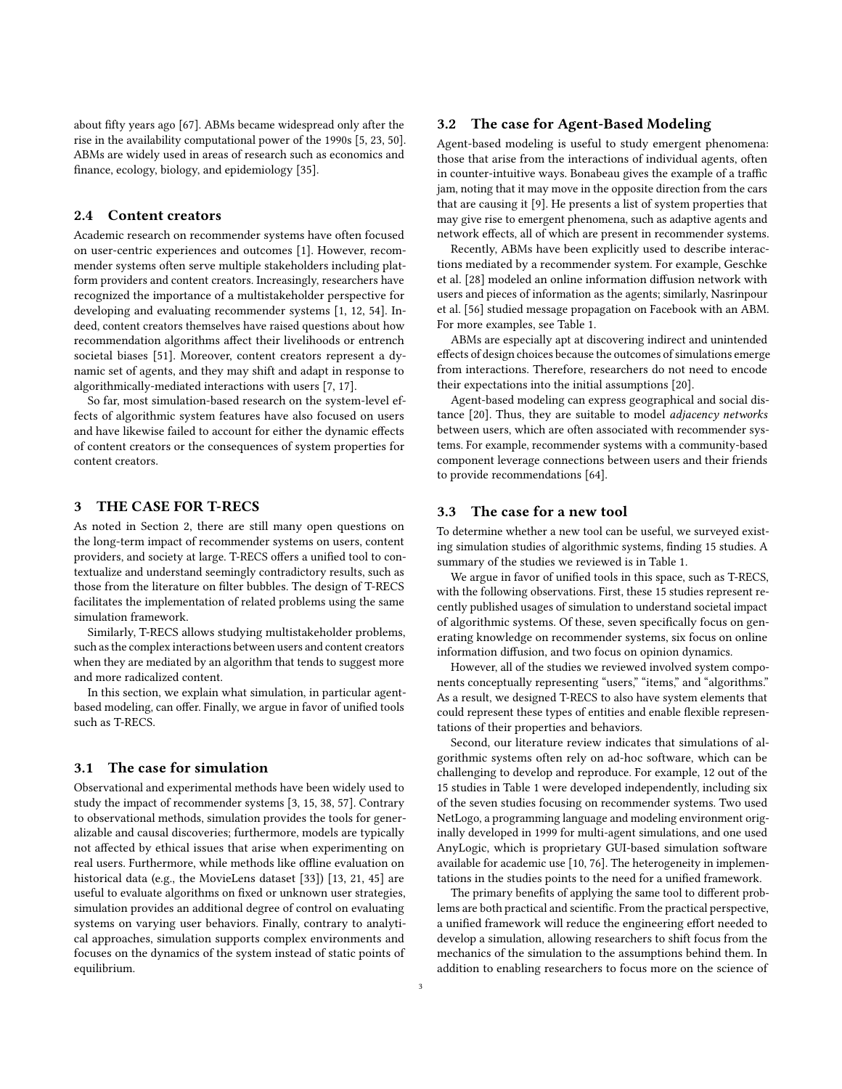about fifty years ago [\[67\]](#page-13-16). ABMs became widespread only after the rise in the availability computational power of the 1990s [\[5,](#page-12-24) [23,](#page-12-25) [50\]](#page-13-17). ABMs are widely used in areas of research such as economics and finance, ecology, biology, and epidemiology [\[35\]](#page-12-26).

# 2.4 Content creators

Academic research on recommender systems have often focused on user-centric experiences and outcomes [\[1\]](#page-12-27). However, recommender systems often serve multiple stakeholders including platform providers and content creators. Increasingly, researchers have recognized the importance of a multistakeholder perspective for developing and evaluating recommender systems [\[1,](#page-12-27) [12,](#page-12-28) [54\]](#page-13-18). Indeed, content creators themselves have raised questions about how recommendation algorithms affect their livelihoods or entrench societal biases [\[51\]](#page-13-19). Moreover, content creators represent a dynamic set of agents, and they may shift and adapt in response to algorithmically-mediated interactions with users [\[7,](#page-12-29) [17\]](#page-12-30).

So far, most simulation-based research on the system-level effects of algorithmic system features have also focused on users and have likewise failed to account for either the dynamic effects of content creators or the consequences of system properties for content creators.

# 3 THE CASE FOR T-RECS

As noted in Section [2,](#page-1-0) there are still many open questions on the long-term impact of recommender systems on users, content providers, and society at large. T-RECS offers a unified tool to contextualize and understand seemingly contradictory results, such as those from the literature on filter bubbles. The design of T-RECS facilitates the implementation of related problems using the same simulation framework.

Similarly, T-RECS allows studying multistakeholder problems, such as the complex interactions between users and content creators when they are mediated by an algorithm that tends to suggest more and more radicalized content.

In this section, we explain what simulation, in particular agentbased modeling, can offer. Finally, we argue in favor of unified tools such as T-RECS.

# 3.1 The case for simulation

Observational and experimental methods have been widely used to study the impact of recommender systems [\[3,](#page-12-31) [15,](#page-12-11) [38,](#page-12-32) [57\]](#page-13-20). Contrary to observational methods, simulation provides the tools for generalizable and causal discoveries; furthermore, models are typically not affected by ethical issues that arise when experimenting on real users. Furthermore, while methods like offline evaluation on historical data (e.g., the MovieLens dataset [\[33\]](#page-12-33)) [\[13,](#page-12-15) [21,](#page-12-16) [45\]](#page-12-17) are useful to evaluate algorithms on fixed or unknown user strategies, simulation provides an additional degree of control on evaluating systems on varying user behaviors. Finally, contrary to analytical approaches, simulation supports complex environments and focuses on the dynamics of the system instead of static points of equilibrium.

# 3.2 The case for Agent-Based Modeling

Agent-based modeling is useful to study emergent phenomena: those that arise from the interactions of individual agents, often in counter-intuitive ways. Bonabeau gives the example of a traffic jam, noting that it may move in the opposite direction from the cars that are causing it [\[9\]](#page-12-23). He presents a list of system properties that may give rise to emergent phenomena, such as adaptive agents and network effects, all of which are present in recommender systems.

Recently, ABMs have been explicitly used to describe interactions mediated by a recommender system. For example, Geschke et al. [\[28\]](#page-12-8) modeled an online information diffusion network with users and pieces of information as the agents; similarly, Nasrinpour et al. [\[56\]](#page-13-21) studied message propagation on Facebook with an ABM. For more examples, see Table [1.](#page-3-0)

ABMs are especially apt at discovering indirect and unintended effects of design choices because the outcomes of simulations emerge from interactions. Therefore, researchers do not need to encode their expectations into the initial assumptions [\[20\]](#page-12-34).

Agent-based modeling can express geographical and social distance [\[20\]](#page-12-34). Thus, they are suitable to model adjacency networks between users, which are often associated with recommender systems. For example, recommender systems with a community-based component leverage connections between users and their friends to provide recommendations [\[64\]](#page-13-22).

# 3.3 The case for a new tool

To determine whether a new tool can be useful, we surveyed existing simulation studies of algorithmic systems, finding 15 studies. A summary of the studies we reviewed is in Table [1.](#page-3-0)

We argue in favor of unified tools in this space, such as T-RECS, with the following observations. First, these 15 studies represent recently published usages of simulation to understand societal impact of algorithmic systems. Of these, seven specifically focus on generating knowledge on recommender systems, six focus on online information diffusion, and two focus on opinion dynamics.

However, all of the studies we reviewed involved system components conceptually representing "users," "items," and "algorithms." As a result, we designed T-RECS to also have system elements that could represent these types of entities and enable flexible representations of their properties and behaviors.

Second, our literature review indicates that simulations of algorithmic systems often rely on ad-hoc software, which can be challenging to develop and reproduce. For example, 12 out of the 15 studies in Table [1](#page-3-0) were developed independently, including six of the seven studies focusing on recommender systems. Two used NetLogo, a programming language and modeling environment originally developed in 1999 for multi-agent simulations, and one used AnyLogic, which is proprietary GUI-based simulation software available for academic use [\[10,](#page-12-35) [76\]](#page-13-23). The heterogeneity in implementations in the studies points to the need for a unified framework.

The primary benefits of applying the same tool to different problems are both practical and scientific. From the practical perspective, a unified framework will reduce the engineering effort needed to develop a simulation, allowing researchers to shift focus from the mechanics of the simulation to the assumptions behind them. In addition to enabling researchers to focus more on the science of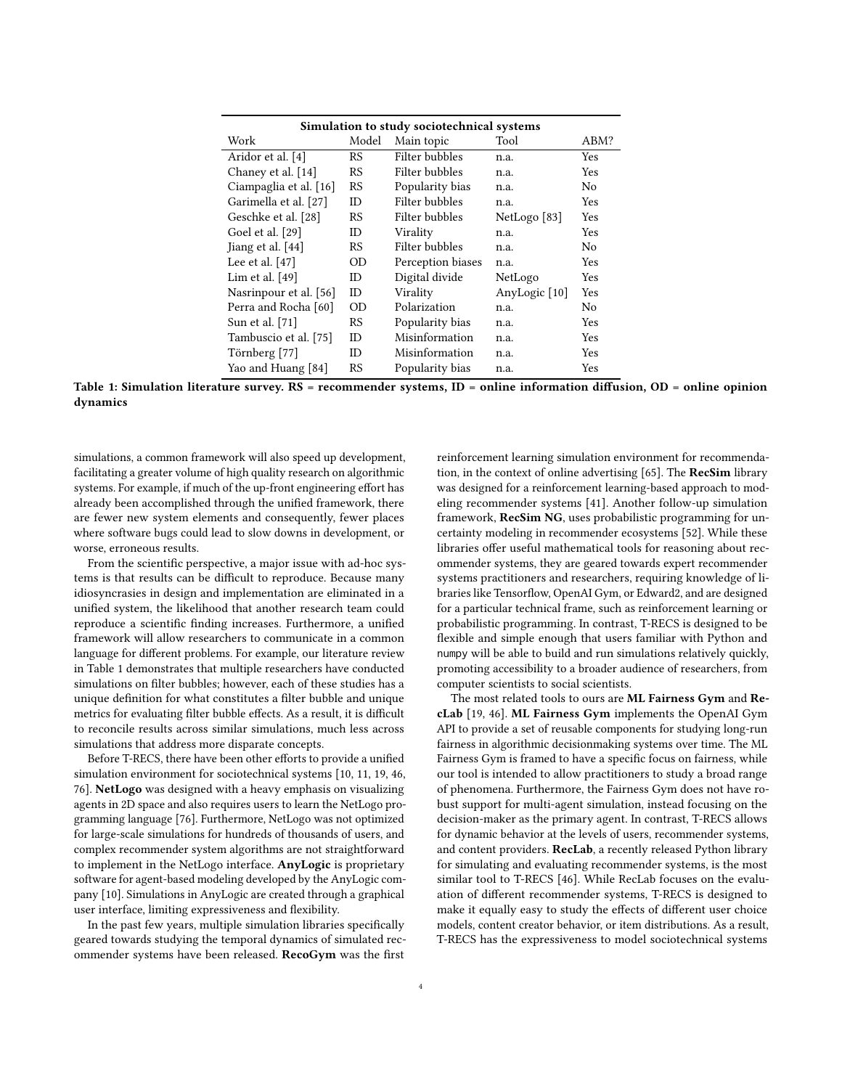<span id="page-3-0"></span>

| Simulation to study sociotechnical systems |           |                   |               |            |  |
|--------------------------------------------|-----------|-------------------|---------------|------------|--|
| Work                                       | Model     | Main topic        | Tool          | ABM?       |  |
| Aridor et al. [4]                          | RS        | Filter bubbles    | n.a.          | Yes        |  |
| Chaney et al. [14]                         | <b>RS</b> | Filter bubbles    | n.a.          | <b>Yes</b> |  |
| Ciampaglia et al. [16]                     | <b>RS</b> | Popularity bias   | n.a.          | No         |  |
| Garimella et al. [27]                      | ID        | Filter bubbles    | n.a.          | Yes        |  |
| Geschke et al. [28]                        | <b>RS</b> | Filter bubbles    | NetLogo [83]  | Yes        |  |
| Goel et al. [29]                           | ID        | Virality          | n.a.          | Yes        |  |
| Jiang et al. [44]                          | RS        | Filter bubbles    | n.a.          | No         |  |
| Lee et al. $[47]$                          | OD        | Perception biases | n.a.          | Yes        |  |
| Lim et al. $[49]$                          | ID.       | Digital divide    | NetLogo       | Yes        |  |
| Nasrinpour et al. [56]                     | ID.       | Virality          | AnyLogic [10] | Yes        |  |
| Perra and Rocha [60]                       | OD        | Polarization      | n.a.          | No         |  |
| Sun et al. [71]                            | RS        | Popularity bias   | n.a.          | Yes        |  |
| Tambuscio et al. [75]                      | ID        | Misinformation    | n.a.          | Yes        |  |
| Törnberg [77]                              | ID.       | Misinformation    | n.a.          | Yes        |  |
| Yao and Huang [84]                         | <b>RS</b> | Popularity bias   | n.a.          | Yes        |  |

Table 1: Simulation literature survey. RS = recommender systems, ID = online information diffusion, OD = online opinion dynamics

simulations, a common framework will also speed up development, facilitating a greater volume of high quality research on algorithmic systems. For example, if much of the up-front engineering effort has already been accomplished through the unified framework, there are fewer new system elements and consequently, fewer places where software bugs could lead to slow downs in development, or worse, erroneous results.

From the scientific perspective, a major issue with ad-hoc systems is that results can be difficult to reproduce. Because many idiosyncrasies in design and implementation are eliminated in a unified system, the likelihood that another research team could reproduce a scientific finding increases. Furthermore, a unified framework will allow researchers to communicate in a common language for different problems. For example, our literature review in Table [1](#page-3-0) demonstrates that multiple researchers have conducted simulations on filter bubbles; however, each of these studies has a unique definition for what constitutes a filter bubble and unique metrics for evaluating filter bubble effects. As a result, it is difficult to reconcile results across similar simulations, much less across simulations that address more disparate concepts.

Before T-RECS, there have been other efforts to provide a unified simulation environment for sociotechnical systems [\[10,](#page-12-35) [11,](#page-12-41) [19,](#page-12-42) [46,](#page-12-43) [76\]](#page-13-23). NetLogo was designed with a heavy emphasis on visualizing agents in 2D space and also requires users to learn the NetLogo programming language [\[76\]](#page-13-23). Furthermore, NetLogo was not optimized for large-scale simulations for hundreds of thousands of users, and complex recommender system algorithms are not straightforward to implement in the NetLogo interface. AnyLogic is proprietary software for agent-based modeling developed by the AnyLogic company [\[10\]](#page-12-35). Simulations in AnyLogic are created through a graphical user interface, limiting expressiveness and flexibility.

In the past few years, multiple simulation libraries specifically geared towards studying the temporal dynamics of simulated recommender systems have been released. RecoGym was the first

reinforcement learning simulation environment for recommendation, in the context of online advertising [\[65\]](#page-13-28). The RecSim library was designed for a reinforcement learning-based approach to modeling recommender systems [\[41\]](#page-12-44). Another follow-up simulation framework, RecSim NG, uses probabilistic programming for uncertainty modeling in recommender ecosystems [\[52\]](#page-13-29). While these libraries offer useful mathematical tools for reasoning about recommender systems, they are geared towards expert recommender systems practitioners and researchers, requiring knowledge of libraries like Tensorflow, OpenAI Gym, or Edward2, and are designed for a particular technical frame, such as reinforcement learning or probabilistic programming. In contrast, T-RECS is designed to be flexible and simple enough that users familiar with Python and numpy will be able to build and run simulations relatively quickly, promoting accessibility to a broader audience of researchers, from computer scientists to social scientists.

The most related tools to ours are ML Fairness Gym and RecLab [\[19,](#page-12-42) [46\]](#page-12-43). ML Fairness Gym implements the OpenAI Gym API to provide a set of reusable components for studying long-run fairness in algorithmic decisionmaking systems over time. The ML Fairness Gym is framed to have a specific focus on fairness, while our tool is intended to allow practitioners to study a broad range of phenomena. Furthermore, the Fairness Gym does not have robust support for multi-agent simulation, instead focusing on the decision-maker as the primary agent. In contrast, T-RECS allows for dynamic behavior at the levels of users, recommender systems, and content providers. RecLab, a recently released Python library for simulating and evaluating recommender systems, is the most similar tool to T-RECS [\[46\]](#page-12-43). While RecLab focuses on the evaluation of different recommender systems, T-RECS is designed to make it equally easy to study the effects of different user choice models, content creator behavior, or item distributions. As a result, T-RECS has the expressiveness to model sociotechnical systems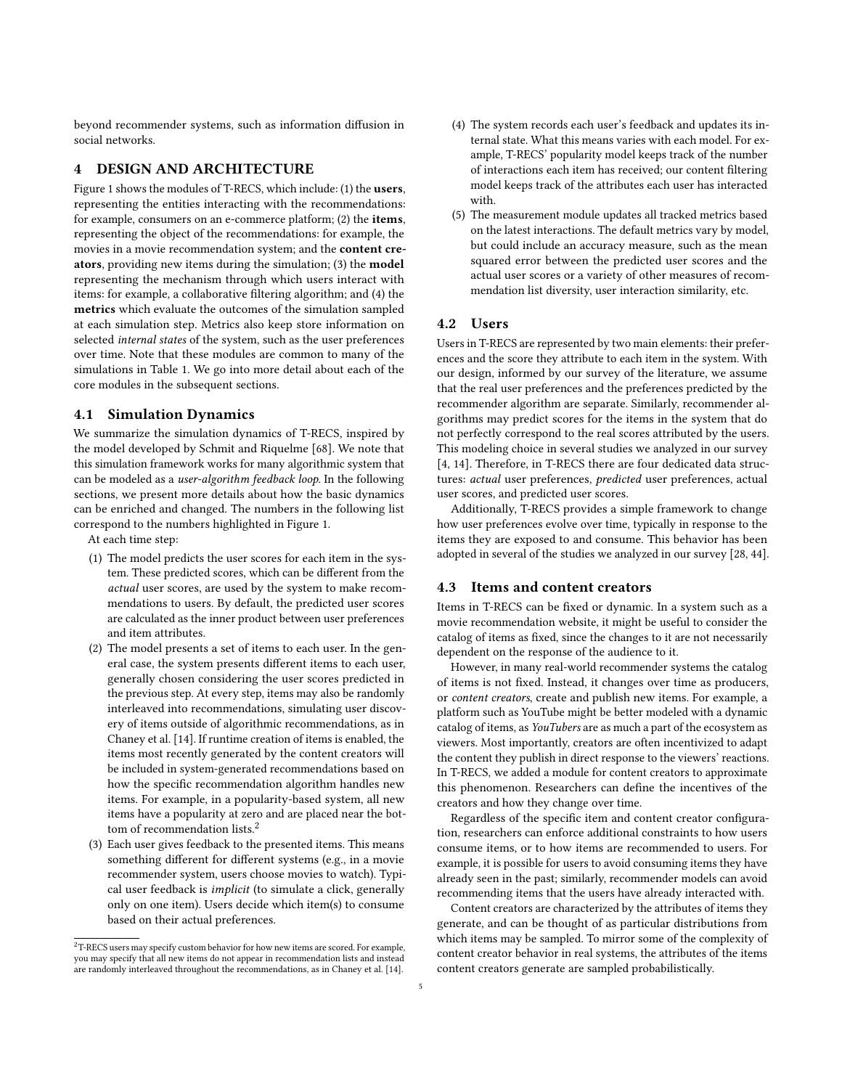beyond recommender systems, such as information diffusion in social networks.

# <span id="page-4-0"></span>4 DESIGN AND ARCHITECTURE

Figure [1](#page-5-0) shows the modules of T-RECS, which include: (1) the users, representing the entities interacting with the recommendations: for example, consumers on an e-commerce platform; (2) the items, representing the object of the recommendations: for example, the movies in a movie recommendation system; and the content creators, providing new items during the simulation; (3) the model representing the mechanism through which users interact with items: for example, a collaborative filtering algorithm; and (4) the metrics which evaluate the outcomes of the simulation sampled at each simulation step. Metrics also keep store information on selected internal states of the system, such as the user preferences over time. Note that these modules are common to many of the simulations in Table [1.](#page-3-0) We go into more detail about each of the core modules in the subsequent sections.

# <span id="page-4-2"></span>4.1 Simulation Dynamics

We summarize the simulation dynamics of T-RECS, inspired by the model developed by Schmit and Riquelme [\[68\]](#page-13-30). We note that this simulation framework works for many algorithmic system that can be modeled as a user-algorithm feedback loop. In the following sections, we present more details about how the basic dynamics can be enriched and changed. The numbers in the following list correspond to the numbers highlighted in Figure [1.](#page-5-0)

At each time step:

- (1) The model predicts the user scores for each item in the system. These predicted scores, which can be different from the actual user scores, are used by the system to make recommendations to users. By default, the predicted user scores are calculated as the inner product between user preferences and item attributes.
- (2) The model presents a set of items to each user. In the general case, the system presents different items to each user, generally chosen considering the user scores predicted in the previous step. At every step, items may also be randomly interleaved into recommendations, simulating user discovery of items outside of algorithmic recommendations, as in Chaney et al. [\[14\]](#page-12-6). If runtime creation of items is enabled, the items most recently generated by the content creators will be included in system-generated recommendations based on how the specific recommendation algorithm handles new items. For example, in a popularity-based system, all new items have a popularity at zero and are placed near the bot-tom of recommendation lists.<sup>[2](#page-4-1)</sup>
- (3) Each user gives feedback to the presented items. This means something different for different systems (e.g., in a movie recommender system, users choose movies to watch). Typical user feedback is implicit (to simulate a click, generally only on one item). Users decide which item(s) to consume based on their actual preferences.
- (4) The system records each user's feedback and updates its internal state. What this means varies with each model. For example, T-RECS' popularity model keeps track of the number of interactions each item has received; our content filtering model keeps track of the attributes each user has interacted with.
- (5) The measurement module updates all tracked metrics based on the latest interactions. The default metrics vary by model, but could include an accuracy measure, such as the mean squared error between the predicted user scores and the actual user scores or a variety of other measures of recommendation list diversity, user interaction similarity, etc.

# 4.2 Users

Users in T-RECS are represented by two main elements: their preferences and the score they attribute to each item in the system. With our design, informed by our survey of the literature, we assume that the real user preferences and the preferences predicted by the recommender algorithm are separate. Similarly, recommender algorithms may predict scores for the items in the system that do not perfectly correspond to the real scores attributed by the users. This modeling choice in several studies we analyzed in our survey [\[4,](#page-12-5) [14\]](#page-12-6). Therefore, in T-RECS there are four dedicated data structures: actual user preferences, predicted user preferences, actual user scores, and predicted user scores.

Additionally, T-RECS provides a simple framework to change how user preferences evolve over time, typically in response to the items they are exposed to and consume. This behavior has been adopted in several of the studies we analyzed in our survey [\[28,](#page-12-8) [44\]](#page-12-38).

# 4.3 Items and content creators

Items in T-RECS can be fixed or dynamic. In a system such as a movie recommendation website, it might be useful to consider the catalog of items as fixed, since the changes to it are not necessarily dependent on the response of the audience to it.

However, in many real-world recommender systems the catalog of items is not fixed. Instead, it changes over time as producers, or content creators, create and publish new items. For example, a platform such as YouTube might be better modeled with a dynamic catalog of items, as YouTubers are as much a part of the ecosystem as viewers. Most importantly, creators are often incentivized to adapt the content they publish in direct response to the viewers' reactions. In T-RECS, we added a module for content creators to approximate this phenomenon. Researchers can define the incentives of the creators and how they change over time.

Regardless of the specific item and content creator configuration, researchers can enforce additional constraints to how users consume items, or to how items are recommended to users. For example, it is possible for users to avoid consuming items they have already seen in the past; similarly, recommender models can avoid recommending items that the users have already interacted with.

Content creators are characterized by the attributes of items they generate, and can be thought of as particular distributions from which items may be sampled. To mirror some of the complexity of content creator behavior in real systems, the attributes of the items content creators generate are sampled probabilistically.

<span id="page-4-1"></span><sup>&</sup>lt;sup>2</sup>T-RECS users may specify custom behavior for how new items are scored. For example, you may specify that all new items do not appear in recommendation lists and instead are randomly interleaved throughout the recommendations, as in Chaney et al. [\[14\]](#page-12-6).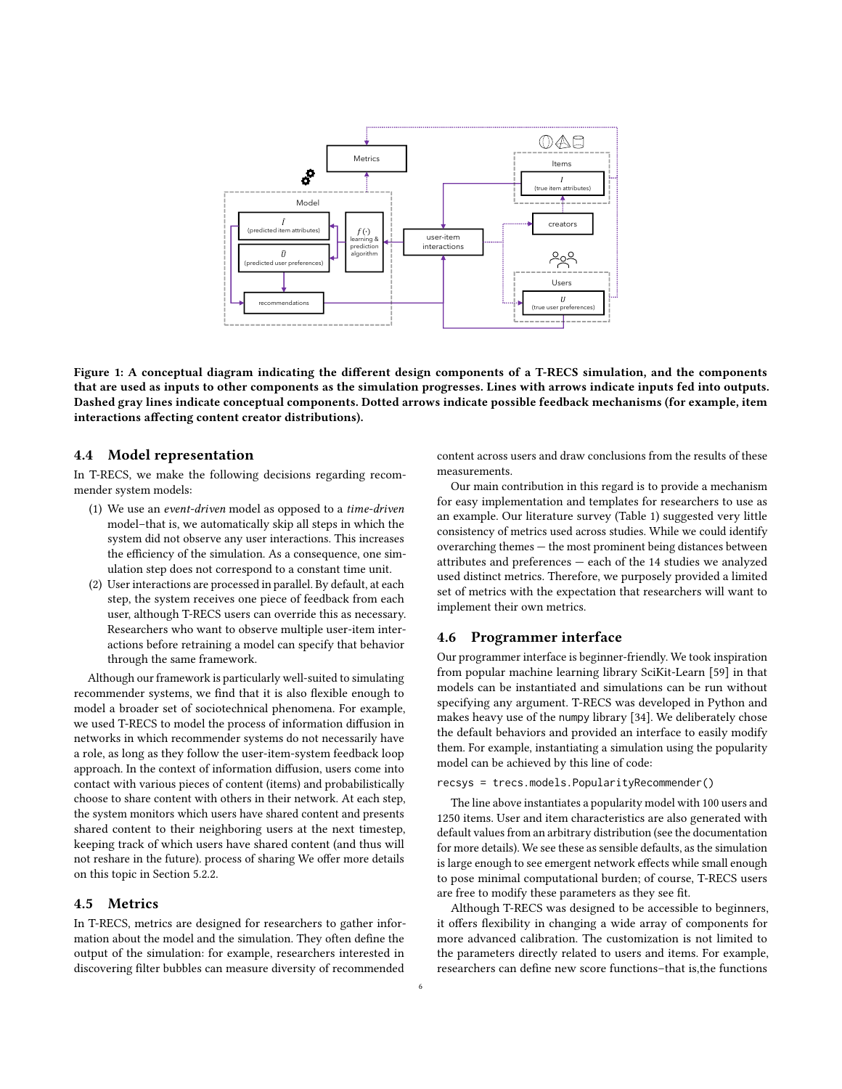<span id="page-5-0"></span>

Figure 1: A conceptual diagram indicating the different design components of a T-RECS simulation, and the components that are used as inputs to other components as the simulation progresses. Lines with arrows indicate inputs fed into outputs. Dashed gray lines indicate conceptual components. Dotted arrows indicate possible feedback mechanisms (for example, item interactions affecting content creator distributions).

### 4.4 Model representation

In T-RECS, we make the following decisions regarding recommender system models:

- (1) We use an event-driven model as opposed to a time-driven model–that is, we automatically skip all steps in which the system did not observe any user interactions. This increases the efficiency of the simulation. As a consequence, one simulation step does not correspond to a constant time unit.
- (2) User interactions are processed in parallel. By default, at each step, the system receives one piece of feedback from each user, although T-RECS users can override this as necessary. Researchers who want to observe multiple user-item interactions before retraining a model can specify that behavior through the same framework.

Although our framework is particularly well-suited to simulating recommender systems, we find that it is also flexible enough to model a broader set of sociotechnical phenomena. For example, we used T-RECS to model the process of information diffusion in networks in which recommender systems do not necessarily have a role, as long as they follow the user-item-system feedback loop approach. In the context of information diffusion, users come into contact with various pieces of content (items) and probabilistically choose to share content with others in their network. At each step, the system monitors which users have shared content and presents shared content to their neighboring users at the next timestep, keeping track of which users have shared content (and thus will not reshare in the future). process of sharing We offer more details on this topic in Section [5.2.2.](#page-8-0)

# 4.5 Metrics

In T-RECS, metrics are designed for researchers to gather information about the model and the simulation. They often define the output of the simulation: for example, researchers interested in discovering filter bubbles can measure diversity of recommended

content across users and draw conclusions from the results of these measurements.

Our main contribution in this regard is to provide a mechanism for easy implementation and templates for researchers to use as an example. Our literature survey (Table [1\)](#page-3-0) suggested very little consistency of metrics used across studies. While we could identify overarching themes — the most prominent being distances between attributes and preferences — each of the 14 studies we analyzed used distinct metrics. Therefore, we purposely provided a limited set of metrics with the expectation that researchers will want to implement their own metrics.

#### 4.6 Programmer interface

Our programmer interface is beginner-friendly. We took inspiration from popular machine learning library SciKit-Learn [\[59\]](#page-13-31) in that models can be instantiated and simulations can be run without specifying any argument. T-RECS was developed in Python and makes heavy use of the numpy library [\[34\]](#page-12-45). We deliberately chose the default behaviors and provided an interface to easily modify them. For example, instantiating a simulation using the popularity model can be achieved by this line of code:

#### recsys = trecs.models.PopularityRecommender()

The line above instantiates a popularity model with 100 users and 1250 items. User and item characteristics are also generated with default values from an arbitrary distribution (see the documentation for more details). We see these as sensible defaults, as the simulation is large enough to see emergent network effects while small enough to pose minimal computational burden; of course, T-RECS users are free to modify these parameters as they see fit.

Although T-RECS was designed to be accessible to beginners, it offers flexibility in changing a wide array of components for more advanced calibration. The customization is not limited to the parameters directly related to users and items. For example, researchers can define new score functions–that is,the functions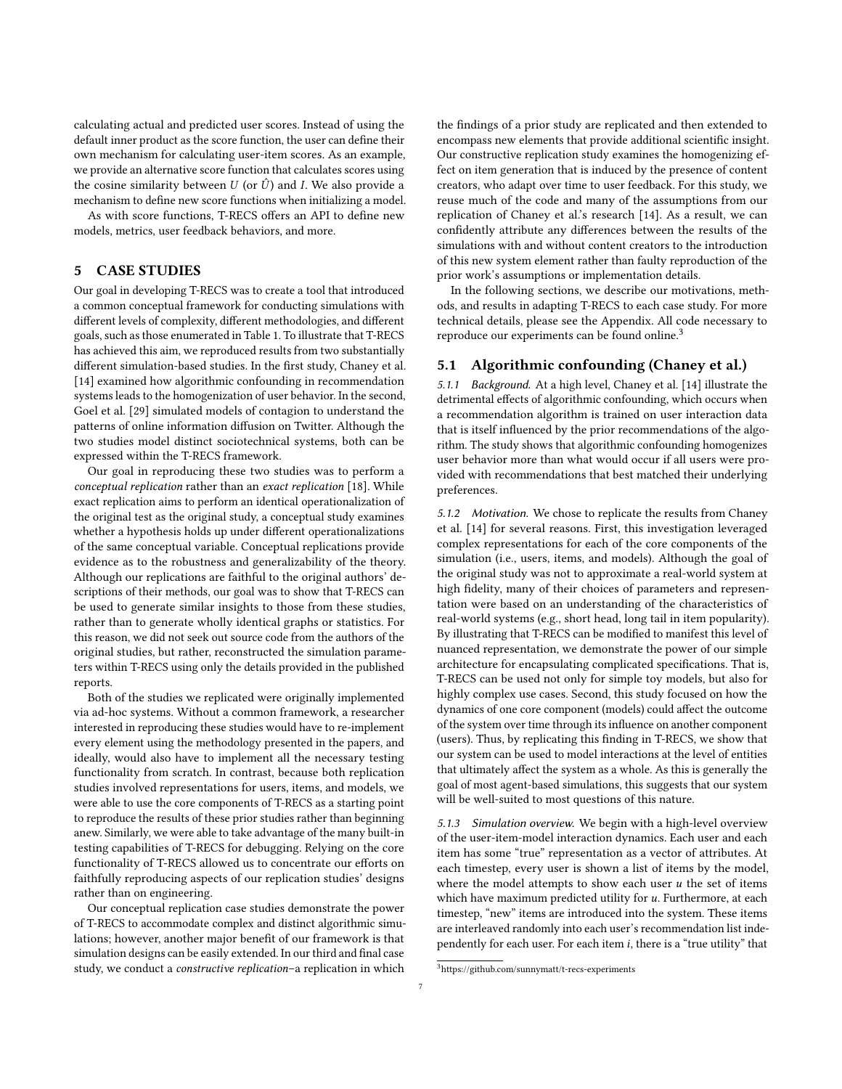calculating actual and predicted user scores. Instead of using the default inner product as the score function, the user can define their own mechanism for calculating user-item scores. As an example, we provide an alternative score function that calculates scores using the cosine similarity between  $U$  (or  $\hat{U}$ ) and I. We also provide a mechanism to define new score functions when initializing a model.

As with score functions, T-RECS offers an API to define new models, metrics, user feedback behaviors, and more.

# 5 CASE STUDIES

Our goal in developing T-RECS was to create a tool that introduced a common conceptual framework for conducting simulations with different levels of complexity, different methodologies, and different goals, such as those enumerated in Table [1.](#page-3-0) To illustrate that T-RECS has achieved this aim, we reproduced results from two substantially different simulation-based studies. In the first study, Chaney et al. [\[14\]](#page-12-6) examined how algorithmic confounding in recommendation systems leads to the homogenization of user behavior. In the second, Goel et al. [\[29\]](#page-12-37) simulated models of contagion to understand the patterns of online information diffusion on Twitter. Although the two studies model distinct sociotechnical systems, both can be expressed within the T-RECS framework.

Our goal in reproducing these two studies was to perform a conceptual replication rather than an exact replication [\[18\]](#page-12-46). While exact replication aims to perform an identical operationalization of the original test as the original study, a conceptual study examines whether a hypothesis holds up under different operationalizations of the same conceptual variable. Conceptual replications provide evidence as to the robustness and generalizability of the theory. Although our replications are faithful to the original authors' descriptions of their methods, our goal was to show that T-RECS can be used to generate similar insights to those from these studies, rather than to generate wholly identical graphs or statistics. For this reason, we did not seek out source code from the authors of the original studies, but rather, reconstructed the simulation parameters within T-RECS using only the details provided in the published reports.

Both of the studies we replicated were originally implemented via ad-hoc systems. Without a common framework, a researcher interested in reproducing these studies would have to re-implement every element using the methodology presented in the papers, and ideally, would also have to implement all the necessary testing functionality from scratch. In contrast, because both replication studies involved representations for users, items, and models, we were able to use the core components of T-RECS as a starting point to reproduce the results of these prior studies rather than beginning anew. Similarly, we were able to take advantage of the many built-in testing capabilities of T-RECS for debugging. Relying on the core functionality of T-RECS allowed us to concentrate our efforts on faithfully reproducing aspects of our replication studies' designs rather than on engineering.

Our conceptual replication case studies demonstrate the power of T-RECS to accommodate complex and distinct algorithmic simulations; however, another major benefit of our framework is that simulation designs can be easily extended. In our third and final case study, we conduct a constructive replication–a replication in which

the findings of a prior study are replicated and then extended to encompass new elements that provide additional scientific insight. Our constructive replication study examines the homogenizing effect on item generation that is induced by the presence of content creators, who adapt over time to user feedback. For this study, we reuse much of the code and many of the assumptions from our replication of Chaney et al.'s research [\[14\]](#page-12-6). As a result, we can confidently attribute any differences between the results of the simulations with and without content creators to the introduction of this new system element rather than faulty reproduction of the prior work's assumptions or implementation details.

In the following sections, we describe our motivations, methods, and results in adapting T-RECS to each case study. For more technical details, please see the Appendix. All code necessary to reproduce our experiments can be found online.<sup>[3](#page-6-0)</sup>

### 5.1 Algorithmic confounding (Chaney et al.)

5.1.1 Background. At a high level, Chaney et al. [\[14\]](#page-12-6) illustrate the detrimental effects of algorithmic confounding, which occurs when a recommendation algorithm is trained on user interaction data that is itself influenced by the prior recommendations of the algorithm. The study shows that algorithmic confounding homogenizes user behavior more than what would occur if all users were provided with recommendations that best matched their underlying preferences.

5.1.2 Motivation. We chose to replicate the results from Chaney et al. [\[14\]](#page-12-6) for several reasons. First, this investigation leveraged complex representations for each of the core components of the simulation (i.e., users, items, and models). Although the goal of the original study was not to approximate a real-world system at high fidelity, many of their choices of parameters and representation were based on an understanding of the characteristics of real-world systems (e.g., short head, long tail in item popularity). By illustrating that T-RECS can be modified to manifest this level of nuanced representation, we demonstrate the power of our simple architecture for encapsulating complicated specifications. That is, T-RECS can be used not only for simple toy models, but also for highly complex use cases. Second, this study focused on how the dynamics of one core component (models) could affect the outcome of the system over time through its influence on another component (users). Thus, by replicating this finding in T-RECS, we show that our system can be used to model interactions at the level of entities that ultimately affect the system as a whole. As this is generally the goal of most agent-based simulations, this suggests that our system will be well-suited to most questions of this nature.

5.1.3 Simulation overview. We begin with a high-level overview of the user-item-model interaction dynamics. Each user and each item has some "true" representation as a vector of attributes. At each timestep, every user is shown a list of items by the model, where the model attempts to show each user  $u$  the set of items which have maximum predicted utility for  $u$ . Furthermore, at each timestep, "new" items are introduced into the system. These items are interleaved randomly into each user's recommendation list independently for each user. For each item  $i$ , there is a "true utility" that

<span id="page-6-0"></span><sup>3</sup><https://github.com/sunnymatt/t-recs-experiments>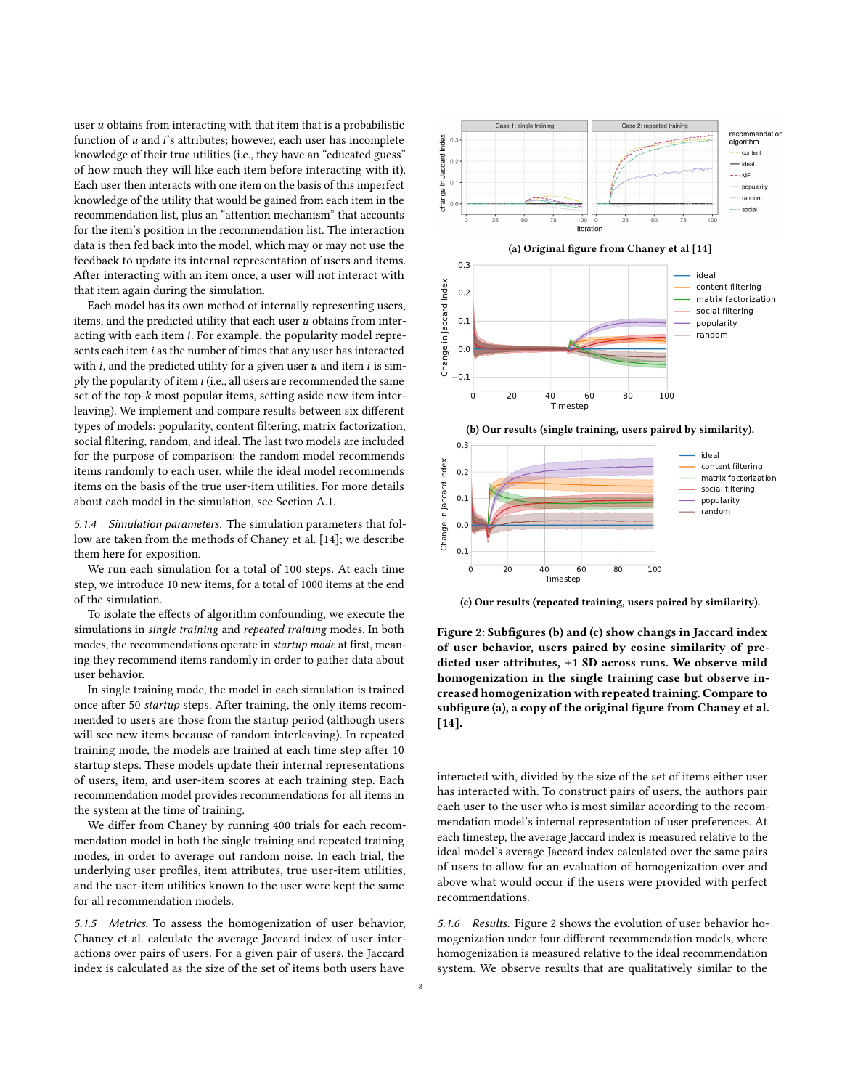user  $\boldsymbol{u}$  obtains from interacting with that item that is a probabilistic function of  $u$  and  $i$ 's attributes; however, each user has incomplete knowledge of their true utilities (i.e., they have an "educated guess" of how much they will like each item before interacting with it). Each user then interacts with one item on the basis of this imperfect knowledge of the utility that would be gained from each item in the recommendation list, plus an "attention mechanism" that accounts for the item's position in the recommendation list. The interaction data is then fed back into the model, which may or may not use the feedback to update its internal representation of users and items. After interacting with an item once, a user will not interact with that item again during the simulation.

Each model has its own method of internally representing users, items, and the predicted utility that each user  $u$  obtains from interacting with each item  $i$ . For example, the popularity model represents each item  $i$  as the number of times that any user has interacted with  $i$ , and the predicted utility for a given user  $u$  and item  $i$  is simply the popularity of item  $i$  (i.e., all users are recommended the same set of the top- $k$  most popular items, setting aside new item interleaving). We implement and compare results between six different types of models: popularity, content filtering, matrix factorization, social filtering, random, and ideal. The last two models are included for the purpose of comparison: the random model recommends items randomly to each user, while the ideal model recommends items on the basis of the true user-item utilities. For more details about each model in the simulation, see Section [A.1.](#page-13-32)

5.1.4 Simulation parameters. The simulation parameters that follow are taken from the methods of Chaney et al. [\[14\]](#page-12-6); we describe them here for exposition.

We run each simulation for a total of 100 steps. At each time step, we introduce 10 new items, for a total of 1000 items at the end of the simulation.

To isolate the effects of algorithm confounding, we execute the simulations in single training and repeated training modes. In both modes, the recommendations operate in startup mode at first, meaning they recommend items randomly in order to gather data about user behavior.

In single training mode, the model in each simulation is trained once after 50 startup steps. After training, the only items recommended to users are those from the startup period (although users will see new items because of random interleaving). In repeated training mode, the models are trained at each time step after 10 startup steps. These models update their internal representations of users, item, and user-item scores at each training step. Each recommendation model provides recommendations for all items in the system at the time of training.

We differ from Chaney by running 400 trials for each recommendation model in both the single training and repeated training modes, in order to average out random noise. In each trial, the underlying user profiles, item attributes, true user-item utilities, and the user-item utilities known to the user were kept the same for all recommendation models.

5.1.5 Metrics. To assess the homogenization of user behavior, Chaney et al. calculate the average Jaccard index of user interactions over pairs of users. For a given pair of users, the Jaccard index is calculated as the size of the set of items both users have

<span id="page-7-0"></span>

(c) Our results (repeated training, users paired by similarity).

Figure 2: Subfigures (b) and (c) show changs in Jaccard index of user behavior, users paired by cosine similarity of predicted user attributes,  $\pm 1$  SD across runs. We observe mild homogenization in the single training case but observe increased homogenization with repeated training. Compare to subfigure (a), a copy of the original figure from Chaney et al. [\[14\]](#page-12-6).

interacted with, divided by the size of the set of items either user has interacted with. To construct pairs of users, the authors pair each user to the user who is most similar according to the recommendation model's internal representation of user preferences. At each timestep, the average Jaccard index is measured relative to the ideal model's average Jaccard index calculated over the same pairs of users to allow for an evaluation of homogenization over and above what would occur if the users were provided with perfect recommendations.

5.1.6 Results. Figure [2](#page-7-0) shows the evolution of user behavior homogenization under four different recommendation models, where homogenization is measured relative to the ideal recommendation system. We observe results that are qualitatively similar to the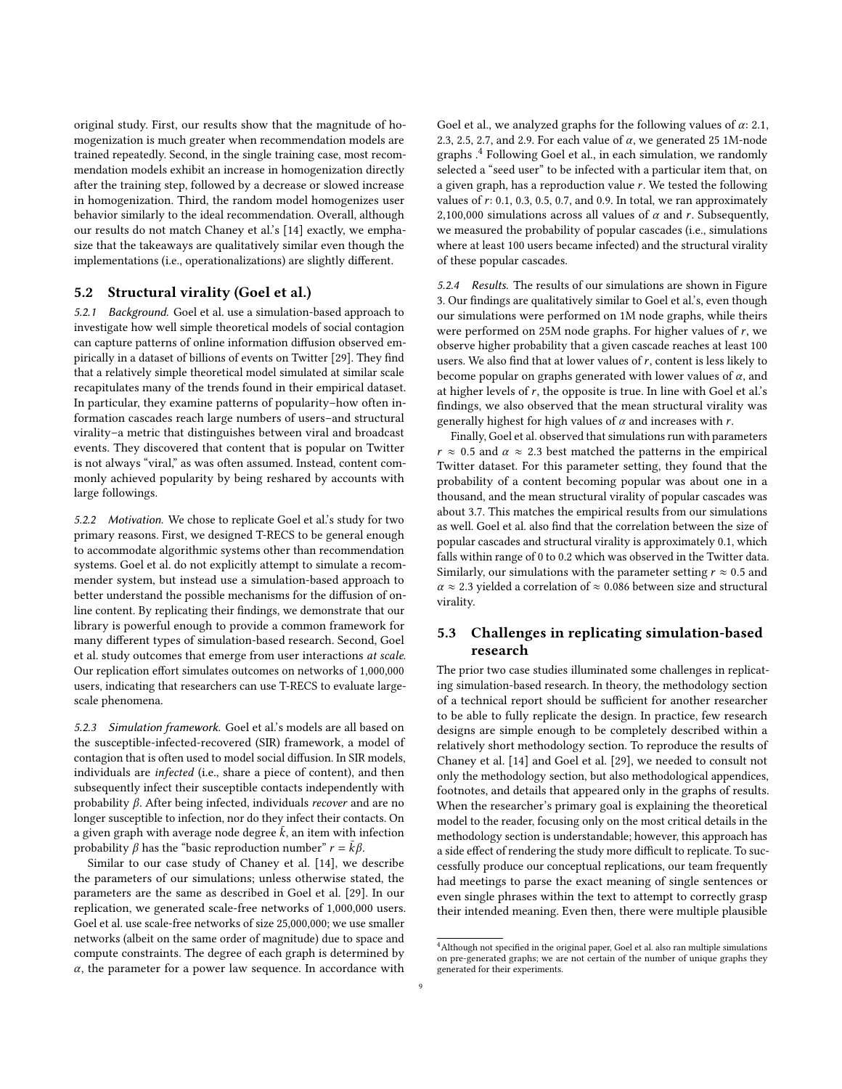original study. First, our results show that the magnitude of homogenization is much greater when recommendation models are trained repeatedly. Second, in the single training case, most recommendation models exhibit an increase in homogenization directly after the training step, followed by a decrease or slowed increase in homogenization. Third, the random model homogenizes user behavior similarly to the ideal recommendation. Overall, although our results do not match Chaney et al.'s [\[14\]](#page-12-6) exactly, we emphasize that the takeaways are qualitatively similar even though the implementations (i.e., operationalizations) are slightly different.

# 5.2 Structural virality (Goel et al.)

5.2.1 Background. Goel et al. use a simulation-based approach to investigate how well simple theoretical models of social contagion can capture patterns of online information diffusion observed empirically in a dataset of billions of events on Twitter [\[29\]](#page-12-37). They find that a relatively simple theoretical model simulated at similar scale recapitulates many of the trends found in their empirical dataset. In particular, they examine patterns of popularity–how often information cascades reach large numbers of users–and structural virality–a metric that distinguishes between viral and broadcast events. They discovered that content that is popular on Twitter is not always "viral," as was often assumed. Instead, content commonly achieved popularity by being reshared by accounts with large followings.

<span id="page-8-0"></span>5.2.2 Motivation. We chose to replicate Goel et al.'s study for two primary reasons. First, we designed T-RECS to be general enough to accommodate algorithmic systems other than recommendation systems. Goel et al. do not explicitly attempt to simulate a recommender system, but instead use a simulation-based approach to better understand the possible mechanisms for the diffusion of online content. By replicating their findings, we demonstrate that our library is powerful enough to provide a common framework for many different types of simulation-based research. Second, Goel et al. study outcomes that emerge from user interactions at scale. Our replication effort simulates outcomes on networks of 1,000,000 users, indicating that researchers can use T-RECS to evaluate largescale phenomena.

5.2.3 Simulation framework. Goel et al.'s models are all based on the susceptible-infected-recovered (SIR) framework, a model of contagion that is often used to model social diffusion. In SIR models, individuals are infected (i.e., share a piece of content), and then subsequently infect their susceptible contacts independently with probability  $\beta$ . After being infected, individuals *recover* and are no longer susceptible to infection, nor do they infect their contacts. On a given graph with average node degree  $\bar{k}$ , an item with infection probability  $\beta$  has the "basic reproduction number"  $r = \bar{k}\beta$ .

Similar to our case study of Chaney et al. [\[14\]](#page-12-6), we describe the parameters of our simulations; unless otherwise stated, the parameters are the same as described in Goel et al. [\[29\]](#page-12-37). In our replication, we generated scale-free networks of 1,000,000 users. Goel et al. use scale-free networks of size 25,000,000; we use smaller networks (albeit on the same order of magnitude) due to space and compute constraints. The degree of each graph is determined by  $\alpha$ , the parameter for a power law sequence. In accordance with

Goel et al., we analyzed graphs for the following values of  $\alpha$ : 2.1, 2.3, 2.5, 2.7, and 2.9. For each value of  $\alpha$ , we generated 25 1M-node graphs .[4](#page-8-1) Following Goel et al., in each simulation, we randomly selected a "seed user" to be infected with a particular item that, on a given graph, has a reproduction value  $r$ . We tested the following values of  $r: 0.1, 0.3, 0.5, 0.7,$  and 0.9. In total, we ran approximately 2,100,000 simulations across all values of  $\alpha$  and r. Subsequently, we measured the probability of popular cascades (i.e., simulations where at least 100 users became infected) and the structural virality of these popular cascades.

5.2.4 Results. The results of our simulations are shown in Figure [3.](#page-9-0) Our findings are qualitatively similar to Goel et al.'s, even though our simulations were performed on 1M node graphs, while theirs were performed on 25M node graphs. For higher values of  $r$ , we observe higher probability that a given cascade reaches at least 100 users. We also find that at lower values of  $r$ , content is less likely to become popular on graphs generated with lower values of  $\alpha$ , and at higher levels of  $r$ , the opposite is true. In line with Goel et al.'s findings, we also observed that the mean structural virality was generally highest for high values of  $\alpha$  and increases with r.

Finally, Goel et al. observed that simulations run with parameters  $r \approx 0.5$  and  $\alpha \approx 2.3$  best matched the patterns in the empirical Twitter dataset. For this parameter setting, they found that the probability of a content becoming popular was about one in a thousand, and the mean structural virality of popular cascades was about 3.7. This matches the empirical results from our simulations as well. Goel et al. also find that the correlation between the size of popular cascades and structural virality is approximately 0.1, which falls within range of 0 to 0.2 which was observed in the Twitter data. Similarly, our simulations with the parameter setting  $r \approx 0.5$  and  $\alpha \approx 2.3$  yielded a correlation of  $\approx 0.086$  between size and structural virality.

# 5.3 Challenges in replicating simulation-based research

The prior two case studies illuminated some challenges in replicating simulation-based research. In theory, the methodology section of a technical report should be sufficient for another researcher to be able to fully replicate the design. In practice, few research designs are simple enough to be completely described within a relatively short methodology section. To reproduce the results of Chaney et al. [\[14\]](#page-12-6) and Goel et al. [\[29\]](#page-12-37), we needed to consult not only the methodology section, but also methodological appendices, footnotes, and details that appeared only in the graphs of results. When the researcher's primary goal is explaining the theoretical model to the reader, focusing only on the most critical details in the methodology section is understandable; however, this approach has a side effect of rendering the study more difficult to replicate. To successfully produce our conceptual replications, our team frequently had meetings to parse the exact meaning of single sentences or even single phrases within the text to attempt to correctly grasp their intended meaning. Even then, there were multiple plausible

<span id="page-8-1"></span><sup>4</sup>Although not specified in the original paper, Goel et al. also ran multiple simulations on pre-generated graphs; we are not certain of the number of unique graphs they generated for their experiments.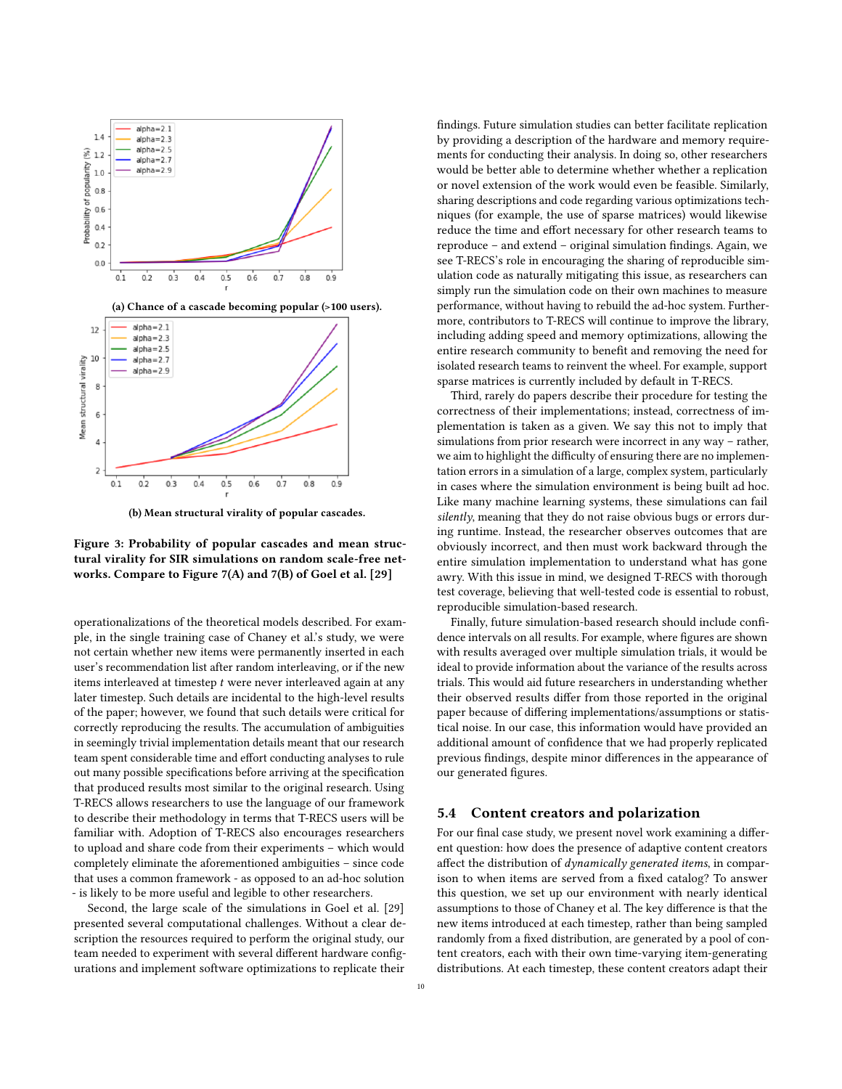<span id="page-9-0"></span>

(b) Mean structural virality of popular cascades.



operationalizations of the theoretical models described. For example, in the single training case of Chaney et al.'s study, we were not certain whether new items were permanently inserted in each user's recommendation list after random interleaving, or if the new items interleaved at timestep  $t$  were never interleaved again at any later timestep. Such details are incidental to the high-level results of the paper; however, we found that such details were critical for correctly reproducing the results. The accumulation of ambiguities in seemingly trivial implementation details meant that our research team spent considerable time and effort conducting analyses to rule out many possible specifications before arriving at the specification that produced results most similar to the original research. Using T-RECS allows researchers to use the language of our framework to describe their methodology in terms that T-RECS users will be familiar with. Adoption of T-RECS also encourages researchers to upload and share code from their experiments – which would completely eliminate the aforementioned ambiguities – since code that uses a common framework - as opposed to an ad-hoc solution - is likely to be more useful and legible to other researchers.

Second, the large scale of the simulations in Goel et al. [\[29\]](#page-12-37) presented several computational challenges. Without a clear description the resources required to perform the original study, our team needed to experiment with several different hardware configurations and implement software optimizations to replicate their

findings. Future simulation studies can better facilitate replication by providing a description of the hardware and memory requirements for conducting their analysis. In doing so, other researchers would be better able to determine whether whether a replication or novel extension of the work would even be feasible. Similarly, sharing descriptions and code regarding various optimizations techniques (for example, the use of sparse matrices) would likewise reduce the time and effort necessary for other research teams to reproduce – and extend – original simulation findings. Again, we see T-RECS's role in encouraging the sharing of reproducible simulation code as naturally mitigating this issue, as researchers can simply run the simulation code on their own machines to measure performance, without having to rebuild the ad-hoc system. Furthermore, contributors to T-RECS will continue to improve the library, including adding speed and memory optimizations, allowing the entire research community to benefit and removing the need for isolated research teams to reinvent the wheel. For example, support sparse matrices is currently included by default in T-RECS.

Third, rarely do papers describe their procedure for testing the correctness of their implementations; instead, correctness of implementation is taken as a given. We say this not to imply that simulations from prior research were incorrect in any way – rather, we aim to highlight the difficulty of ensuring there are no implementation errors in a simulation of a large, complex system, particularly in cases where the simulation environment is being built ad hoc. Like many machine learning systems, these simulations can fail silently, meaning that they do not raise obvious bugs or errors during runtime. Instead, the researcher observes outcomes that are obviously incorrect, and then must work backward through the entire simulation implementation to understand what has gone awry. With this issue in mind, we designed T-RECS with thorough test coverage, believing that well-tested code is essential to robust, reproducible simulation-based research.

Finally, future simulation-based research should include confidence intervals on all results. For example, where figures are shown with results averaged over multiple simulation trials, it would be ideal to provide information about the variance of the results across trials. This would aid future researchers in understanding whether their observed results differ from those reported in the original paper because of differing implementations/assumptions or statistical noise. In our case, this information would have provided an additional amount of confidence that we had properly replicated previous findings, despite minor differences in the appearance of our generated figures.

# 5.4 Content creators and polarization

For our final case study, we present novel work examining a different question: how does the presence of adaptive content creators affect the distribution of dynamically generated items, in comparison to when items are served from a fixed catalog? To answer this question, we set up our environment with nearly identical assumptions to those of Chaney et al. The key difference is that the new items introduced at each timestep, rather than being sampled randomly from a fixed distribution, are generated by a pool of content creators, each with their own time-varying item-generating distributions. At each timestep, these content creators adapt their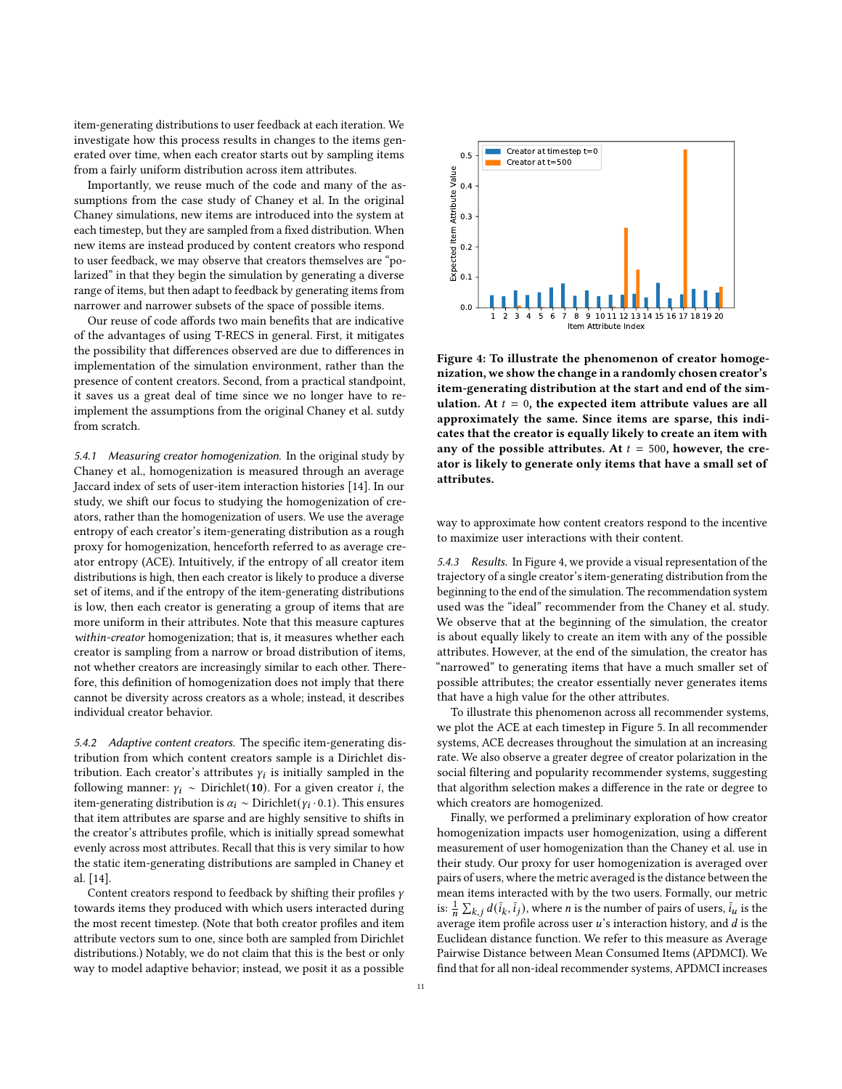item-generating distributions to user feedback at each iteration. We investigate how this process results in changes to the items generated over time, when each creator starts out by sampling items from a fairly uniform distribution across item attributes.

Importantly, we reuse much of the code and many of the assumptions from the case study of Chaney et al. In the original Chaney simulations, new items are introduced into the system at each timestep, but they are sampled from a fixed distribution. When new items are instead produced by content creators who respond to user feedback, we may observe that creators themselves are "polarized" in that they begin the simulation by generating a diverse range of items, but then adapt to feedback by generating items from narrower and narrower subsets of the space of possible items.

Our reuse of code affords two main benefits that are indicative of the advantages of using T-RECS in general. First, it mitigates the possibility that differences observed are due to differences in implementation of the simulation environment, rather than the presence of content creators. Second, from a practical standpoint, it saves us a great deal of time since we no longer have to reimplement the assumptions from the original Chaney et al. sutdy from scratch.

5.4.1 Measuring creator homogenization. In the original study by Chaney et al., homogenization is measured through an average Jaccard index of sets of user-item interaction histories [\[14\]](#page-12-6). In our study, we shift our focus to studying the homogenization of creators, rather than the homogenization of users. We use the average entropy of each creator's item-generating distribution as a rough proxy for homogenization, henceforth referred to as average creator entropy (ACE). Intuitively, if the entropy of all creator item distributions is high, then each creator is likely to produce a diverse set of items, and if the entropy of the item-generating distributions is low, then each creator is generating a group of items that are more uniform in their attributes. Note that this measure captures within-creator homogenization; that is, it measures whether each creator is sampling from a narrow or broad distribution of items, not whether creators are increasingly similar to each other. Therefore, this definition of homogenization does not imply that there cannot be diversity across creators as a whole; instead, it describes individual creator behavior.

5.4.2 Adaptive content creators. The specific item-generating distribution from which content creators sample is a Dirichlet distribution. Each creator's attributes  $y_i$  is initially sampled in the following manner:  $\gamma_i \sim$  Dirichlet(10). For a given creator *i*, the item-generating distribution is  $\alpha_i \sim \text{Dirichlet}(y_i \cdot 0.1)$ . This ensures that item attributes are sparse and are highly sensitive to shifts in the creator's attributes profile, which is initially spread somewhat evenly across most attributes. Recall that this is very similar to how the static item-generating distributions are sampled in Chaney et al. [\[14\]](#page-12-6).

Content creators respond to feedback by shifting their profiles  $\gamma$ towards items they produced with which users interacted during the most recent timestep. (Note that both creator profiles and item attribute vectors sum to one, since both are sampled from Dirichlet distributions.) Notably, we do not claim that this is the best or only way to model adaptive behavior; instead, we posit it as a possible

<span id="page-10-0"></span>

Figure 4: To illustrate the phenomenon of creator homogenization, we show the change in a randomly chosen creator's item-generating distribution at the start and end of the simulation. At  $t = 0$ , the expected item attribute values are all approximately the same. Since items are sparse, this indicates that the creator is equally likely to create an item with any of the possible attributes. At  $t = 500$ , however, the creator is likely to generate only items that have a small set of attributes.

way to approximate how content creators respond to the incentive to maximize user interactions with their content.

5.4.3 Results. In Figure [4,](#page-10-0) we provide a visual representation of the trajectory of a single creator's item-generating distribution from the beginning to the end of the simulation. The recommendation system used was the "ideal" recommender from the Chaney et al. study. We observe that at the beginning of the simulation, the creator is about equally likely to create an item with any of the possible attributes. However, at the end of the simulation, the creator has "narrowed" to generating items that have a much smaller set of possible attributes; the creator essentially never generates items that have a high value for the other attributes.

To illustrate this phenomenon across all recommender systems, we plot the ACE at each timestep in Figure [5.](#page-11-0) In all recommender systems, ACE decreases throughout the simulation at an increasing rate. We also observe a greater degree of creator polarization in the social filtering and popularity recommender systems, suggesting that algorithm selection makes a difference in the rate or degree to which creators are homogenized.

Finally, we performed a preliminary exploration of how creator homogenization impacts user homogenization, using a different measurement of user homogenization than the Chaney et al. use in their study. Our proxy for user homogenization is averaged over pairs of users, where the metric averaged is the distance between the mean items interacted with by the two users. Formally, our metric is:  $\frac{1}{n} \sum_{k,j} d(\bar{i}_k, \bar{i}_j)$ , where *n* is the number of pairs of users,  $\bar{i}_u$  is the average item profile across user  $u$ 's interaction history, and  $d$  is the Euclidean distance function. We refer to this measure as Average Pairwise Distance between Mean Consumed Items (APDMCI). We find that for all non-ideal recommender systems, APDMCI increases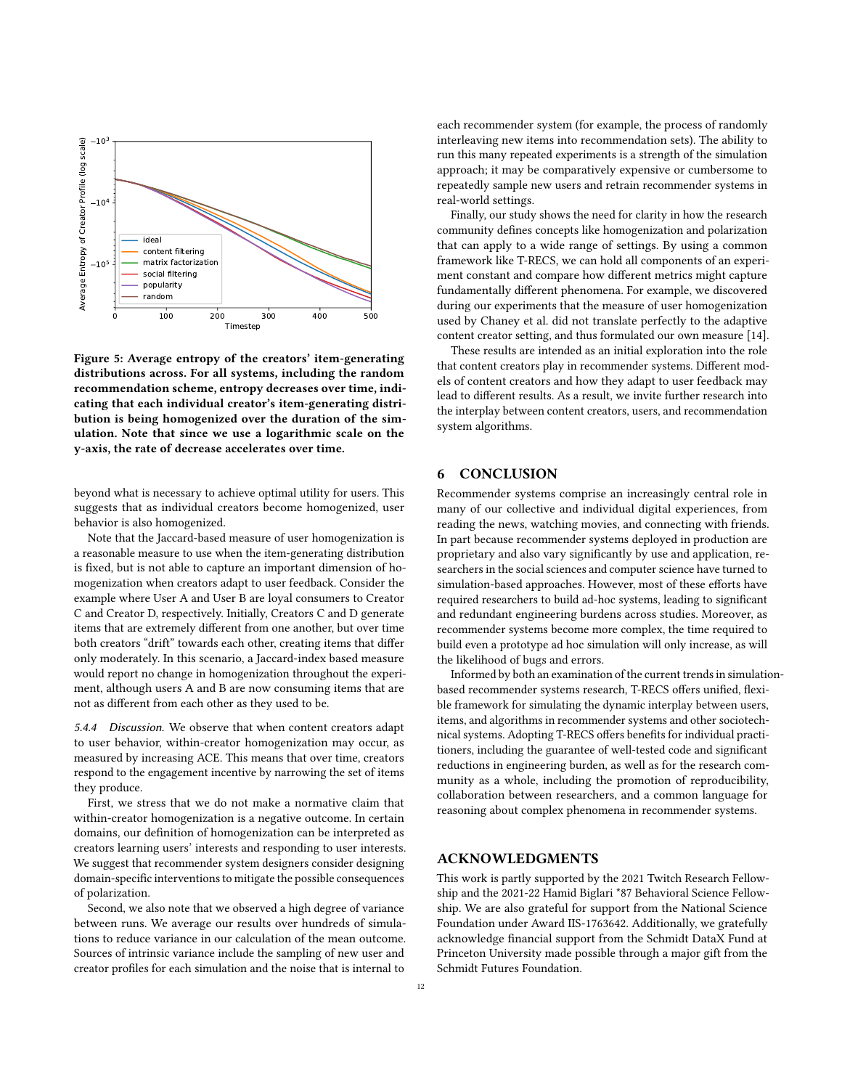<span id="page-11-0"></span>

Figure 5: Average entropy of the creators' item-generating distributions across. For all systems, including the random recommendation scheme, entropy decreases over time, indicating that each individual creator's item-generating distribution is being homogenized over the duration of the simulation. Note that since we use a logarithmic scale on the y-axis, the rate of decrease accelerates over time.

beyond what is necessary to achieve optimal utility for users. This suggests that as individual creators become homogenized, user behavior is also homogenized.

Note that the Jaccard-based measure of user homogenization is a reasonable measure to use when the item-generating distribution is fixed, but is not able to capture an important dimension of homogenization when creators adapt to user feedback. Consider the example where User A and User B are loyal consumers to Creator C and Creator D, respectively. Initially, Creators C and D generate items that are extremely different from one another, but over time both creators "drift" towards each other, creating items that differ only moderately. In this scenario, a Jaccard-index based measure would report no change in homogenization throughout the experiment, although users A and B are now consuming items that are not as different from each other as they used to be.

5.4.4 Discussion. We observe that when content creators adapt to user behavior, within-creator homogenization may occur, as measured by increasing ACE. This means that over time, creators respond to the engagement incentive by narrowing the set of items they produce.

First, we stress that we do not make a normative claim that within-creator homogenization is a negative outcome. In certain domains, our definition of homogenization can be interpreted as creators learning users' interests and responding to user interests. We suggest that recommender system designers consider designing domain-specific interventions to mitigate the possible consequences of polarization.

Second, we also note that we observed a high degree of variance between runs. We average our results over hundreds of simulations to reduce variance in our calculation of the mean outcome. Sources of intrinsic variance include the sampling of new user and creator profiles for each simulation and the noise that is internal to

each recommender system (for example, the process of randomly interleaving new items into recommendation sets). The ability to run this many repeated experiments is a strength of the simulation approach; it may be comparatively expensive or cumbersome to repeatedly sample new users and retrain recommender systems in real-world settings.

Finally, our study shows the need for clarity in how the research community defines concepts like homogenization and polarization that can apply to a wide range of settings. By using a common framework like T-RECS, we can hold all components of an experiment constant and compare how different metrics might capture fundamentally different phenomena. For example, we discovered during our experiments that the measure of user homogenization used by Chaney et al. did not translate perfectly to the adaptive content creator setting, and thus formulated our own measure [\[14\]](#page-12-6).

These results are intended as an initial exploration into the role that content creators play in recommender systems. Different models of content creators and how they adapt to user feedback may lead to different results. As a result, we invite further research into the interplay between content creators, users, and recommendation system algorithms.

# 6 CONCLUSION

Recommender systems comprise an increasingly central role in many of our collective and individual digital experiences, from reading the news, watching movies, and connecting with friends. In part because recommender systems deployed in production are proprietary and also vary significantly by use and application, researchers in the social sciences and computer science have turned to simulation-based approaches. However, most of these efforts have required researchers to build ad-hoc systems, leading to significant and redundant engineering burdens across studies. Moreover, as recommender systems become more complex, the time required to build even a prototype ad hoc simulation will only increase, as will the likelihood of bugs and errors.

Informed by both an examination of the current trends in simulationbased recommender systems research, T-RECS offers unified, flexible framework for simulating the dynamic interplay between users, items, and algorithms in recommender systems and other sociotechnical systems. Adopting T-RECS offers benefits for individual practitioners, including the guarantee of well-tested code and significant reductions in engineering burden, as well as for the research community as a whole, including the promotion of reproducibility, collaboration between researchers, and a common language for reasoning about complex phenomena in recommender systems.

# ACKNOWLEDGMENTS

This work is partly supported by the 2021 Twitch Research Fellowship and the 2021-22 Hamid Biglari \*87 Behavioral Science Fellowship. We are also grateful for support from the National Science Foundation under Award IIS-1763642. Additionally, we gratefully acknowledge financial support from the Schmidt DataX Fund at Princeton University made possible through a major gift from the Schmidt Futures Foundation.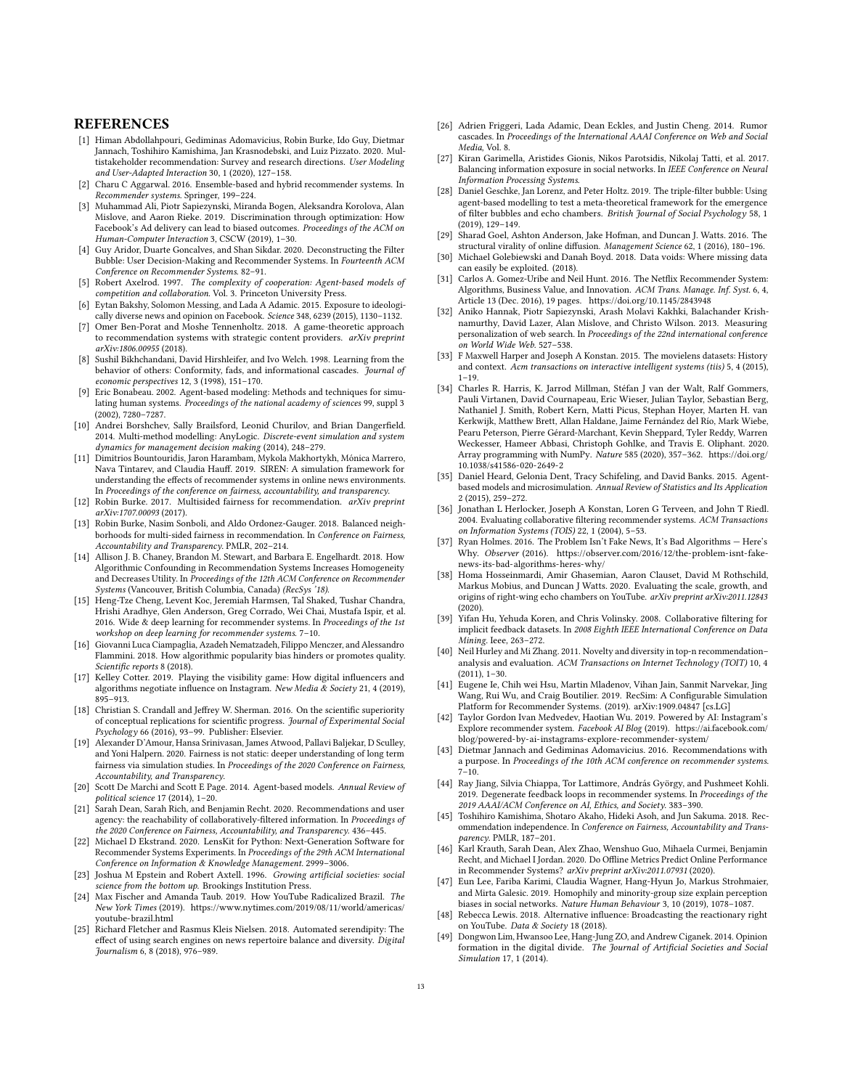# **REFERENCES**

- <span id="page-12-27"></span>[1] Himan Abdollahpouri, Gediminas Adomavicius, Robin Burke, Ido Guy, Dietmar Jannach, Toshihiro Kamishima, Jan Krasnodebski, and Luiz Pizzato. 2020. Multistakeholder recommendation: Survey and research directions. User Modeling and User-Adapted Interaction 30, 1 (2020), 127–158.
- <span id="page-12-12"></span>[2] Charu C Aggarwal. 2016. Ensemble-based and hybrid recommender systems. In Recommender systems. Springer, 199–224.
- <span id="page-12-31"></span>[3] Muhammad Ali, Piotr Sapiezynski, Miranda Bogen, Aleksandra Korolova, Alan Mislove, and Aaron Rieke. 2019. Discrimination through optimization: How Facebook's Ad delivery can lead to biased outcomes. Proceedings of the ACM on Human-Computer Interaction 3, CSCW (2019), 1–30.
- <span id="page-12-5"></span>[4] Guy Aridor, Duarte Goncalves, and Shan Sikdar. 2020. Deconstructing the Filter Bubble: User Decision-Making and Recommender Systems. In Fourteenth ACM Conference on Recommender Systems. 82–91.
- <span id="page-12-24"></span>[5] Robert Axelrod. 1997. The complexity of cooperation: Agent-based models of competition and collaboration. Vol. 3. Princeton University Press.
- <span id="page-12-2"></span>[6] Eytan Bakshy, Solomon Messing, and Lada A Adamic. 2015. Exposure to ideologically diverse news and opinion on Facebook. Science 348, 6239 (2015), 1130–1132.
- <span id="page-12-29"></span>[7] Omer Ben-Porat and Moshe Tennenholtz. 2018. A game-theoretic approach to recommendation systems with strategic content providers.  $arXiv$  preprint arXiv:1806.00955 (2018).
- <span id="page-12-20"></span>[8] Sushil Bikhchandani, David Hirshleifer, and Ivo Welch. 1998. Learning from the behavior of others: Conformity, fads, and informational cascades. Journal of economic perspectives 12, 3 (1998), 151–170.
- <span id="page-12-23"></span>[9] Eric Bonabeau. 2002. Agent-based modeling: Methods and techniques for simulating human systems. Proceedings of the national academy of sciences 99, suppl 3 (2002), 7280–7287.
- <span id="page-12-35"></span>[10] Andrei Borshchev, Sally Brailsford, Leonid Churilov, and Brian Dangerfield. 2014. Multi-method modelling: AnyLogic. Discrete-event simulation and system dynamics for management decision making (2014), 248–279.
- <span id="page-12-41"></span>[11] Dimitrios Bountouridis, Jaron Harambam, Mykola Makhortykh, Mónica Marrero, Nava Tintarev, and Claudia Hauff. 2019. SIREN: A simulation framework for understanding the effects of recommender systems in online news environments. In Proceedings of the conference on fairness, accountability, and transparency.
- <span id="page-12-28"></span>[12] Robin Burke. 2017. Multisided fairness for recommendation. arXiv preprint arXiv:1707.00093 (2017).
- <span id="page-12-15"></span>[13] Robin Burke, Nasim Sonboli, and Aldo Ordonez-Gauger. 2018. Balanced neighborhoods for multi-sided fairness in recommendation. In Conference on Fairness, Accountability and Transparency. PMLR, 202–214.
- <span id="page-12-6"></span>[14] Allison J. B. Chaney, Brandon M. Stewart, and Barbara E. Engelhardt. 2018. How Algorithmic Confounding in Recommendation Systems Increases Homogeneity and Decreases Utility. In Proceedings of the 12th ACM Conference on Recommender Systems (Vancouver, British Columbia, Canada) (RecSys '18).
- <span id="page-12-11"></span>[15] Heng-Tze Cheng, Levent Koc, Jeremiah Harmsen, Tal Shaked, Tushar Chandra, Hrishi Aradhye, Glen Anderson, Greg Corrado, Wei Chai, Mustafa Ispir, et al. 2016. Wide & deep learning for recommender systems. In Proceedings of the 1st workshop on deep learning for recommender systems. 7–10.
- <span id="page-12-7"></span>[16] Giovanni Luca Ciampaglia, Azadeh Nematzadeh, Filippo Menczer, and Alessandro Flammini. 2018. How algorithmic popularity bias hinders or promotes quality. Scientific reports 8 (2018).
- <span id="page-12-30"></span>[17] Kelley Cotter. 2019. Playing the visibility game: How digital influencers and algorithms negotiate influence on Instagram. New Media & Society 21, 4 (2019), 895–913.
- <span id="page-12-46"></span>[18] Christian S. Crandall and Jeffrey W. Sherman. 2016. On the scientific superiority of conceptual replications for scientific progress. Journal of Experimental Social Psychology 66 (2016), 93–99. Publisher: Elsevier.
- <span id="page-12-42"></span>[19] Alexander D'Amour, Hansa Srinivasan, James Atwood, Pallavi Baljekar, D Sculley, and Yoni Halpern. 2020. Fairness is not static: deeper understanding of long term fairness via simulation studies. In Proceedings of the 2020 Conference on Fairness, Accountability, and Transparency.
- <span id="page-12-34"></span>[20] Scott De Marchi and Scott E Page. 2014. Agent-based models. Annual Review of political science 17 (2014), 1–20.
- <span id="page-12-16"></span>[21] Sarah Dean, Sarah Rich, and Benjamin Recht. 2020. Recommendations and user agency: the reachability of collaboratively-filtered information. In Proceedings of the 2020 Conference on Fairness, Accountability, and Transparency. 436–445.
- <span id="page-12-48"></span>[22] Michael D Ekstrand. 2020. LensKit for Python: Next-Generation Software for Recommender Systems Experiments. In Proceedings of the 29th ACM International Conference on Information & Knowledge Management. 2999–3006.
- <span id="page-12-25"></span>[23] Joshua M Epstein and Robert Axtell. 1996. Growing artificial societies: social science from the bottom up. Brookings Institution Press.
- <span id="page-12-1"></span>[24] Max Fischer and Amanda Taub. 2019. How YouTube Radicalized Brazil. The New York Times (2019). [https://www.nytimes.com/2019/08/11/world/americas/](https://www.nytimes.com/2019/08/11/world/americas/youtube-brazil.html) [youtube-brazil.html](https://www.nytimes.com/2019/08/11/world/americas/youtube-brazil.html)
- <span id="page-12-3"></span>[25] Richard Fletcher and Rasmus Kleis Nielsen. 2018. Automated serendipity: The effect of using search engines on news repertoire balance and diversity. Digital Journalism 6, 8 (2018), 976–989.
- <span id="page-12-22"></span>[26] Adrien Friggeri, Lada Adamic, Dean Eckles, and Justin Cheng. 2014. Rumor cascades. In Proceedings of the International AAAI Conference on Web and Social Media, Vol. 8.
- <span id="page-12-36"></span>[27] Kiran Garimella, Aristides Gionis, Nikos Parotsidis, Nikolaj Tatti, et al. 2017. Balancing information exposure in social networks. In IEEE Conference on Neural Information Processing Systems.
- <span id="page-12-8"></span>[28] Daniel Geschke, Jan Lorenz, and Peter Holtz. 2019. The triple-filter bubble: Using agent-based modelling to test a meta-theoretical framework for the emergence of filter bubbles and echo chambers. British Journal of Social Psychology 58, 1 (2019), 129–149.
- <span id="page-12-37"></span>[29] Sharad Goel, Ashton Anderson, Jake Hofman, and Duncan J. Watts. 2016. The structural virality of online diffusion. Management Science 62, 1 (2016), 180–196.
- <span id="page-12-19"></span>[30] Michael Golebiewski and Danah Boyd. 2018. Data voids: Where missing data can easily be exploited. (2018).
- <span id="page-12-10"></span>[31] Carlos A. Gomez-Uribe and Neil Hunt. 2016. The Netflix Recommender System: Algorithms, Business Value, and Innovation. ACM Trans. Manage. Inf. Syst. 6, 4, Article 13 (Dec. 2016), 19 pages.<https://doi.org/10.1145/2843948>
- <span id="page-12-4"></span>[32] Aniko Hannak, Piotr Sapiezynski, Arash Molavi Kakhki, Balachander Krishnamurthy, David Lazer, Alan Mislove, and Christo Wilson. 2013. Measuring personalization of web search. In Proceedings of the 22nd international conference on World Wide Web. 527–538.
- <span id="page-12-33"></span>[33] F Maxwell Harper and Joseph A Konstan. 2015. The movielens datasets: History and context. Acm transactions on interactive intelligent systems (tiis) 5, 4 (2015),  $1 - 19.$
- <span id="page-12-45"></span>[34] Charles R. Harris, K. Jarrod Millman, Stéfan J van der Walt, Ralf Gommers, Pauli Virtanen, David Cournapeau, Eric Wieser, Julian Taylor, Sebastian Berg, Nathaniel J. Smith, Robert Kern, Matti Picus, Stephan Hoyer, Marten H. van Kerkwijk, Matthew Brett, Allan Haldane, Jaime Fernández del Río, Mark Wiebe, Pearu Peterson, Pierre Gérard-Marchant, Kevin Sheppard, Tyler Reddy, Warren Weckesser, Hameer Abbasi, Christoph Gohlke, and Travis E. Oliphant. 2020. Array programming with NumPy. Nature 585 (2020), 357–362. [https://doi.org/](https://doi.org/10.1038/s41586-020-2649-2) [10.1038/s41586-020-2649-2](https://doi.org/10.1038/s41586-020-2649-2)
- <span id="page-12-26"></span>[35] Daniel Heard, Gelonia Dent, Tracy Schifeling, and David Banks. 2015. Agentbased models and microsimulation. Annual Review of Statistics and Its Application 2 (2015), 259–272.
- <span id="page-12-13"></span>[36] Jonathan L Herlocker, Joseph A Konstan, Loren G Terveen, and John T Riedl. 2004. Evaluating collaborative filtering recommender systems. ACM Transactions on Information Systems (TOIS) 22, 1 (2004), 5–53.
- <span id="page-12-0"></span>[37] Ryan Holmes. 2016. The Problem Isn't Fake News, It's Bad Algorithms — Here's Why. Observer (2016). [https://observer.com/2016/12/the-problem-isnt-fake](https://observer.com/2016/12/the-problem-isnt-fake-news-its-bad-algorithms-heres-why/)[news-its-bad-algorithms-heres-why/](https://observer.com/2016/12/the-problem-isnt-fake-news-its-bad-algorithms-heres-why/)
- <span id="page-12-32"></span>[38] Homa Hosseinmardi, Amir Ghasemian, Aaron Clauset, David M Rothschild, Markus Mobius, and Duncan J Watts. 2020. Evaluating the scale, growth, and origins of right-wing echo chambers on YouTube. arXiv preprint arXiv:2011.12843 (2020).
- <span id="page-12-47"></span>[39] Yifan Hu, Yehuda Koren, and Chris Volinsky. 2008. Collaborative filtering for implicit feedback datasets. In 2008 Eighth IEEE International Conference on Data Mining. Ieee, 263–272.
- <span id="page-12-14"></span>[40] Neil Hurley and Mi Zhang. 2011. Novelty and diversity in top-n recommendation– analysis and evaluation. ACM Transactions on Internet Technology (TOIT) 10, 4 (2011), 1–30.
- <span id="page-12-44"></span>[41] Eugene Ie, Chih wei Hsu, Martin Mladenov, Vihan Jain, Sanmit Narvekar, Jing Wang, Rui Wu, and Craig Boutilier. 2019. RecSim: A Configurable Simulation Platform for Recommender Systems. (2019). arXiv[:1909.04847](https://arxiv.org/abs/1909.04847) [cs.LG]
- <span id="page-12-9"></span>[42] Taylor Gordon Ivan Medvedev, Haotian Wu. 2019. Powered by AI: Instagram's Explore recommender system. Facebook AI Blog (2019). [https://ai.facebook.com/](https://ai.facebook.com/blog/powered-by-ai-instagrams-explore-recommender-system/) [blog/powered-by-ai-instagrams-explore-recommender-system/](https://ai.facebook.com/blog/powered-by-ai-instagrams-explore-recommender-system/)
- <span id="page-12-18"></span>[43] Dietmar Jannach and Gediminas Adomavicius. 2016. Recommendations with a purpose. In Proceedings of the 10th ACM conference on recommender systems.  $7-10.$
- <span id="page-12-38"></span>[44] Ray Jiang, Silvia Chiappa, Tor Lattimore, András György, and Pushmeet Kohli. 2019. Degenerate feedback loops in recommender systems. In Proceedings of the 2019 AAAI/ACM Conference on AI, Ethics, and Society. 383–390.
- <span id="page-12-17"></span>[45] Toshihiro Kamishima, Shotaro Akaho, Hideki Asoh, and Jun Sakuma. 2018. Recommendation independence. In Conference on Fairness, Accountability and Transparency. PMLR, 187–201.
- <span id="page-12-43"></span>[46] Karl Krauth, Sarah Dean, Alex Zhao, Wenshuo Guo, Mihaela Curmei, Benjamin Recht, and Michael I Jordan. 2020. Do Offline Metrics Predict Online Performance in Recommender Systems? arXiv preprint arXiv:2011.07931 (2020).
- <span id="page-12-39"></span>[47] Eun Lee, Fariba Karimi, Claudia Wagner, Hang-Hyun Jo, Markus Strohmaier, and Mirta Galesic. 2019. Homophily and minority-group size explain perception biases in social networks. Nature Human Behaviour 3, 10 (2019), 1078–1087.
- <span id="page-12-21"></span>[48] Rebecca Lewis. 2018. Alternative influence: Broadcasting the reactionary right on YouTube. Data & Society 18 (2018).
- <span id="page-12-40"></span>[49] Dongwon Lim, Hwansoo Lee, Hang-Jung ZO, and Andrew Ciganek. 2014. Opinion formation in the digital divide. The Journal of Artificial Societies and Social Simulation 17, 1 (2014).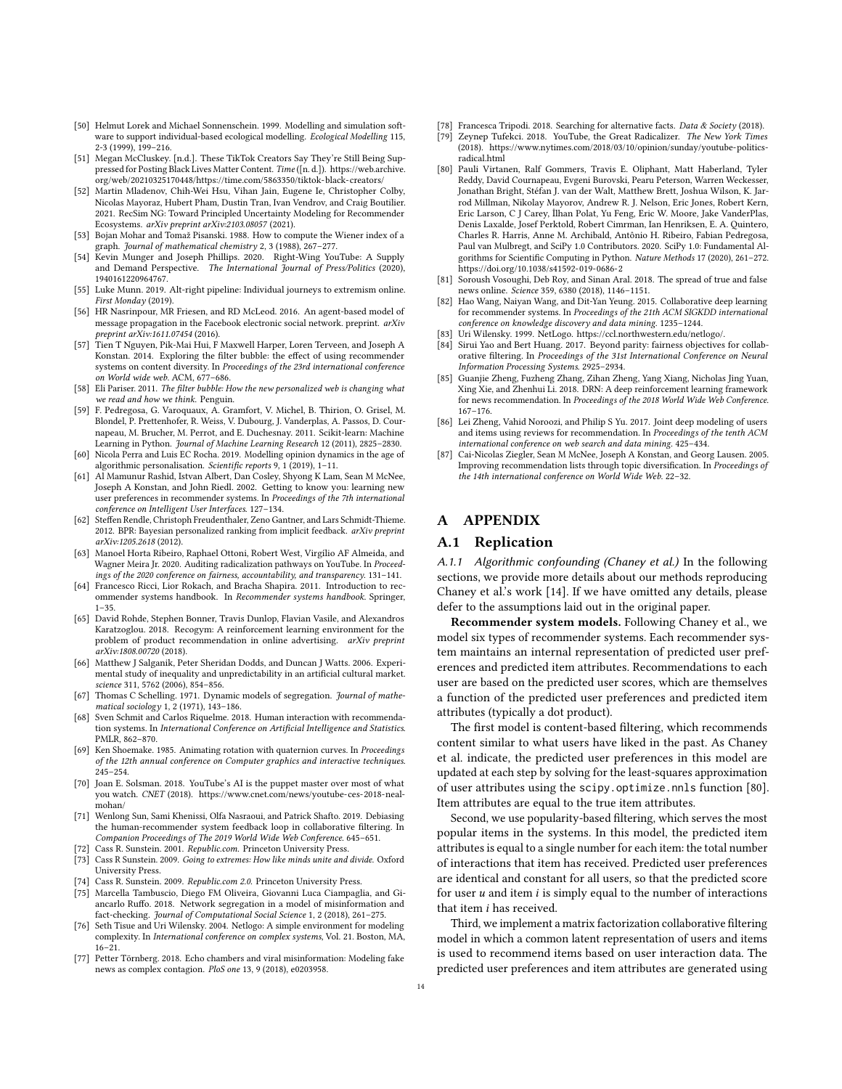- <span id="page-13-17"></span>[50] Helmut Lorek and Michael Sonnenschein. 1999. Modelling and simulation software to support individual-based ecological modelling. Ecological Modelling 115, 2-3 (1999), 199–216.
- <span id="page-13-19"></span>[51] Megan McCluskey. [n.d.]. These TikTok Creators Say They're Still Being Suppressed for Posting Black Lives Matter Content. Time ([n. d.]). [https://web.archive.](https://web.archive.org/web/20210325170448/https://time.com/5863350/tiktok-black-creators/) [org/web/20210325170448/https://time.com/5863350/tiktok-black-creators/](https://web.archive.org/web/20210325170448/https://time.com/5863350/tiktok-black-creators/)
- <span id="page-13-29"></span>[52] Martin Mladenov, Chih-Wei Hsu, Vihan Jain, Eugene Ie, Christopher Colby, Nicolas Mayoraz, Hubert Pham, Dustin Tran, Ivan Vendrov, and Craig Boutilier. 2021. RecSim NG: Toward Principled Uncertainty Modeling for Recommender Ecosystems. arXiv preprint arXiv:2103.08057 (2021).
- <span id="page-13-34"></span>[53] Bojan Mohar and Tomaž Pisanski. 1988. How to compute the Wiener index of a graph. Journal of mathematical chemistry 2, 3 (1988), 267–277.
- <span id="page-13-18"></span>[54] Kevin Munger and Joseph Phillips. 2020. Right-Wing YouTube: A Supply and Demand Perspective. The International Journal of Press/Politics (2020), 1940161220964767.
- <span id="page-13-13"></span>[55] Luke Munn. 2019. Alt-right pipeline: Individual journeys to extremism online. First Monday (2019).
- <span id="page-13-21"></span>[56] HR Nasrinpour, MR Friesen, and RD McLeod. 2016. An agent-based model of message propagation in the Facebook electronic social network. preprint. arXiv preprint arXiv:1611.07454 (2016).
- <span id="page-13-20"></span>[57] Tien T Nguyen, Pik-Mai Hui, F Maxwell Harper, Loren Terveen, and Joseph A Konstan. 2014. Exploring the filter bubble: the effect of using recommender systems on content diversity. In Proceedings of the 23rd international conference on World wide web. ACM, 677–686.
- <span id="page-13-0"></span>[58] Eli Pariser. 2011. The filter bubble: How the new personalized web is changing what we read and how we think. Penguin.
- <span id="page-13-31"></span>[59] F. Pedregosa, G. Varoquaux, A. Gramfort, V. Michel, B. Thirion, O. Grisel, M. Blondel, P. Prettenhofer, R. Weiss, V. Dubourg, J. Vanderplas, A. Passos, D. Cournapeau, M. Brucher, M. Perrot, and E. Duchesnay. 2011. Scikit-learn: Machine Learning in Python. Journal of Machine Learning Research 12 (2011), 2825–2830.
- <span id="page-13-3"></span>[60] Nicola Perra and Luis EC Rocha. 2019. Modelling opinion dynamics in the age of algorithmic personalisation. Scientific reports 9, 1 (2019), 1–11.
- <span id="page-13-37"></span>[61] Al Mamunur Rashid, Istvan Albert, Dan Cosley, Shyong K Lam, Sean M McNee, Joseph A Konstan, and John Riedl. 2002. Getting to know you: learning new user preferences in recommender systems. In Proceedings of the 7th international conference on Intelligent User Interfaces. 127–134.
- <span id="page-13-6"></span>[62] Steffen Rendle, Christoph Freudenthaler, Zeno Gantner, and Lars Schmidt-Thieme. 2012. BPR: Bayesian personalized ranking from implicit feedback. arXiv preprint arXiv:1205.2618 (2012).
- <span id="page-13-35"></span>[63] Manoel Horta Ribeiro, Raphael Ottoni, Robert West, Virgílio AF Almeida, and Wagner Meira Jr. 2020. Auditing radicalization pathways on YouTube. In Proceedings of the 2020 conference on fairness, accountability, and transparency. 131–141.
- <span id="page-13-22"></span>[64] Francesco Ricci, Lior Rokach, and Bracha Shapira. 2011. Introduction to recommender systems handbook. In Recommender systems handbook. Springer,  $1 - 35.$
- <span id="page-13-28"></span>[65] David Rohde, Stephen Bonner, Travis Dunlop, Flavian Vasile, and Alexandros Karatzoglou. 2018. Recogym: A reinforcement learning environment for the problem of product recommendation in online advertising. arXiv preprint arXiv:1808.00720 (2018).
- <span id="page-13-14"></span>[66] Matthew J Salganik, Peter Sheridan Dodds, and Duncan J Watts. 2006. Experimental study of inequality and unpredictability in an artificial cultural market. science 311, 5762 (2006), 854–856.
- <span id="page-13-16"></span>[67] Thomas C Schelling. 1971. Dynamic models of segregation. Journal of mathematical sociology 1, 2 (1971), 143–186.
- <span id="page-13-30"></span>[68] Sven Schmit and Carlos Riquelme. 2018. Human interaction with recommendation systems. In International Conference on Artificial Intelligence and Statistics. PMLR, 862–870.
- <span id="page-13-36"></span>[69] Ken Shoemake. 1985. Animating rotation with quaternion curves. In Proceedings of the 12th annual conference on Computer graphics and interactive techniques. 245–254.
- <span id="page-13-5"></span>[70] Joan E. Solsman. 2018. YouTube's AI is the puppet master over most of what you watch. CNET (2018). [https://www.cnet.com/news/youtube-ces-2018-neal](https://www.cnet.com/news/youtube-ces-2018-neal-mohan/)[mohan/](https://www.cnet.com/news/youtube-ces-2018-neal-mohan/)
- <span id="page-13-25"></span>[71] Wenlong Sun, Sami Khenissi, Olfa Nasraoui, and Patrick Shafto. 2019. Debiasing the human-recommender system feedback loop in collaborative filtering. In Companion Proceedings of The 2019 World Wide Web Conference. 645–651.
- <span id="page-13-11"></span>[72] Cass R. Sunstein. 2001. Republic.com. Princeton University Press.
- [73] Cass R Sunstein. 2009. Going to extremes: How like minds unite and divide. Oxford University Press.
- <span id="page-13-26"></span><span id="page-13-12"></span>[74] Cass R. Sunstein. 2009. Republic.com 2.0. Princeton University Press. [75] Marcella Tambuscio, Diego FM Oliveira, Giovanni Luca Ciampaglia, and Giancarlo Ruffo. 2018. Network segregation in a model of misinformation and

<span id="page-13-23"></span>fact-checking. Journal of Computational Social Science 1, 2 (2018), 261–275. [76] Seth Tisue and Uri Wilensky. 2004. Netlogo: A simple environment for modeling

- complexity. In International conference on complex systems, Vol. 21. Boston, MA, 16–21.
- <span id="page-13-27"></span>[77] Petter Törnberg. 2018. Echo chambers and viral misinformation: Modeling fake news as complex contagion. PloS one 13, 9 (2018), e0203958.
- <span id="page-13-15"></span>[78] Francesca Tripodi. 2018. Searching for alternative facts. Data & Society (2018).
- <span id="page-13-2"></span>Zeynep Tufekci. 2018. YouTube, the Great Radicalizer. The New York Times (2018). [https://www.nytimes.com/2018/03/10/opinion/sunday/youtube-politics](https://www.nytimes.com/2018/03/10/opinion/sunday/youtube-politics-radical.html)[radical.html](https://www.nytimes.com/2018/03/10/opinion/sunday/youtube-politics-radical.html)
- <span id="page-13-33"></span>[80] Pauli Virtanen, Ralf Gommers, Travis E. Oliphant, Matt Haberland, Tyler Reddy, David Cournapeau, Evgeni Burovski, Pearu Peterson, Warren Weckesser, Jonathan Bright, Stéfan J. van der Walt, Matthew Brett, Joshua Wilson, K. Jarrod Millman, Nikolay Mayorov, Andrew R. J. Nelson, Eric Jones, Robert Kern, Eric Larson, C J Carey, İlhan Polat, Yu Feng, Eric W. Moore, Jake VanderPlas, Denis Laxalde, Josef Perktold, Robert Cimrman, Ian Henriksen, E. A. Quintero, Charles R. Harris, Anne M. Archibald, Antônio H. Ribeiro, Fabian Pedregosa, Paul van Mulbregt, and SciPy 1.0 Contributors. 2020. SciPy 1.0: Fundamental Algorithms for Scientific Computing in Python. Nature Methods 17 (2020), 261–272. <https://doi.org/10.1038/s41592-019-0686-2>
- <span id="page-13-1"></span>[81] Soroush Vosoughi, Deb Roy, and Sinan Aral. 2018. The spread of true and false news online. Science 359, 6380 (2018), 1146–1151.
- <span id="page-13-8"></span>[82] Hao Wang, Naiyan Wang, and Dit-Yan Yeung. 2015. Collaborative deep learning for recommender systems. In Proceedings of the 21th ACM SIGKDD international conference on knowledge discovery and data mining. 1235–1244.
- <span id="page-13-24"></span>[83] Uri Wilensky. 1999. NetLogo. [https://ccl.northwestern.edu/netlogo/.](https://ccl.northwestern.edu/netlogo/)
- <span id="page-13-4"></span>[84] Sirui Yao and Bert Huang. 2017. Beyond parity: fairness objectives for collaborative filtering. In Proceedings of the 31st International Conference on Neural Information Processing Systems. 2925–2934.
- <span id="page-13-7"></span>[85] Guanjie Zheng, Fuzheng Zhang, Zihan Zheng, Yang Xiang, Nicholas Jing Yuan, Xing Xie, and Zhenhui Li. 2018. DRN: A deep reinforcement learning framework for news recommendation. In Proceedings of the 2018 World Wide Web Conference. 167–176.
- <span id="page-13-9"></span>[86] Lei Zheng, Vahid Noroozi, and Philip S Yu. 2017. Joint deep modeling of users and items using reviews for recommendation. In Proceedings of the tenth ACM international conference on web search and data mining. 425–434.
- <span id="page-13-10"></span>[87] Cai-Nicolas Ziegler, Sean M McNee, Joseph A Konstan, and Georg Lausen. 2005. Improving recommendation lists through topic diversification. In Proceedings of the 14th international conference on World Wide Web. 22–32.

# A APPENDIX

### <span id="page-13-32"></span>A.1 Replication

A.1.1 Algorithmic confounding (Chaney et al.) In the following sections, we provide more details about our methods reproducing Chaney et al.'s work [\[14\]](#page-12-6). If we have omitted any details, please defer to the assumptions laid out in the original paper.

Recommender system models. Following Chaney et al., we model six types of recommender systems. Each recommender system maintains an internal representation of predicted user preferences and predicted item attributes. Recommendations to each user are based on the predicted user scores, which are themselves a function of the predicted user preferences and predicted item attributes (typically a dot product).

The first model is content-based filtering, which recommends content similar to what users have liked in the past. As Chaney et al. indicate, the predicted user preferences in this model are updated at each step by solving for the least-squares approximation of user attributes using the scipy.optimize.nnls function [\[80\]](#page-13-33). Item attributes are equal to the true item attributes.

Second, we use popularity-based filtering, which serves the most popular items in the systems. In this model, the predicted item attributes is equal to a single number for each item: the total number of interactions that item has received. Predicted user preferences are identical and constant for all users, so that the predicted score for user  $u$  and item  $i$  is simply equal to the number of interactions that item  $i$  has received.

Third, we implement a matrix factorization collaborative filtering model in which a common latent representation of users and items is used to recommend items based on user interaction data. The predicted user preferences and item attributes are generated using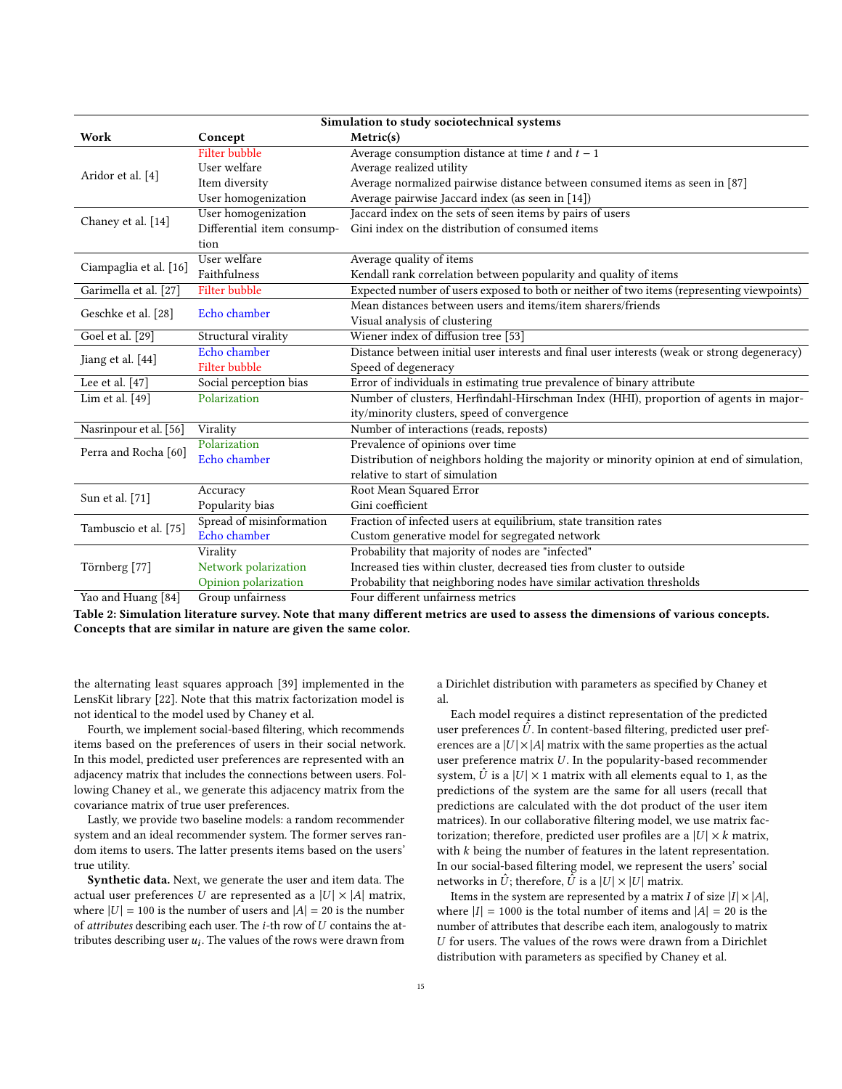| Simulation to study sociotechnical systems |                            |                                                                                              |  |
|--------------------------------------------|----------------------------|----------------------------------------------------------------------------------------------|--|
| Work                                       | Concept                    | Metric(s)                                                                                    |  |
|                                            | <b>Filter bubble</b>       | Average consumption distance at time $t$ and $t - 1$                                         |  |
| Aridor et al. [4]                          | User welfare               | Average realized utility                                                                     |  |
|                                            | Item diversity             | Average normalized pairwise distance between consumed items as seen in [87]                  |  |
|                                            | User homogenization        | Average pairwise Jaccard index (as seen in [14])                                             |  |
| Chaney et al. [14]                         | User homogenization        | Jaccard index on the sets of seen items by pairs of users                                    |  |
|                                            | Differential item consump- | Gini index on the distribution of consumed items                                             |  |
|                                            | tion                       |                                                                                              |  |
| Ciampaglia et al. [16]                     | User welfare               | Average quality of items                                                                     |  |
|                                            | Faithfulness               | Kendall rank correlation between popularity and quality of items                             |  |
| Garimella et al. [27]                      | <b>Filter bubble</b>       | Expected number of users exposed to both or neither of two items (representing viewpoints)   |  |
| Geschke et al. [28]                        |                            | Mean distances between users and items/item sharers/friends                                  |  |
|                                            | Echo chamber               | Visual analysis of clustering                                                                |  |
| Goel et al. [29]                           | Structural virality        | Wiener index of diffusion tree [53]                                                          |  |
| Jiang et al. [44]                          | Echo chamber               | Distance between initial user interests and final user interests (weak or strong degeneracy) |  |
|                                            | <b>Filter bubble</b>       | Speed of degeneracy                                                                          |  |
| Lee et al. $[47]$                          | Social perception bias     | Error of individuals in estimating true prevalence of binary attribute                       |  |
| Lim et al. $[49]$                          | Polarization               | Number of clusters, Herfindahl-Hirschman Index (HHI), proportion of agents in major-         |  |
|                                            |                            | ity/minority clusters, speed of convergence                                                  |  |
| Nasrinpour et al. [56]                     | Virality                   | Number of interactions (reads, reposts)                                                      |  |
| Perra and Rocha <sup>[60]</sup>            | Polarization               | Prevalence of opinions over time                                                             |  |
|                                            | Echo chamber               | Distribution of neighbors holding the majority or minority opinion at end of simulation,     |  |
|                                            |                            | relative to start of simulation                                                              |  |
| Sun et al. [71]                            | Accuracy                   | Root Mean Squared Error                                                                      |  |
|                                            | Popularity bias            | Gini coefficient                                                                             |  |
| Tambuscio et al. [75]                      | Spread of misinformation   | Fraction of infected users at equilibrium, state transition rates                            |  |
|                                            | Echo chamber               | Custom generative model for segregated network                                               |  |
|                                            | Virality                   | Probability that majority of nodes are "infected"                                            |  |
| Törnberg [77]                              | Network polarization       | Increased ties within cluster, decreased ties from cluster to outside                        |  |
|                                            | Opinion polarization       | Probability that neighboring nodes have similar activation thresholds                        |  |
| Yao and Huang [84]                         | Group unfairness           | Four different unfairness metrics                                                            |  |

Table 2: Simulation literature survey. Note that many different metrics are used to assess the dimensions of various concepts. Concepts that are similar in nature are given the same color.

the alternating least squares approach [\[39\]](#page-12-47) implemented in the LensKit library [\[22\]](#page-12-48). Note that this matrix factorization model is not identical to the model used by Chaney et al.

Fourth, we implement social-based filtering, which recommends items based on the preferences of users in their social network. In this model, predicted user preferences are represented with an adjacency matrix that includes the connections between users. Following Chaney et al., we generate this adjacency matrix from the covariance matrix of true user preferences.

Lastly, we provide two baseline models: a random recommender system and an ideal recommender system. The former serves random items to users. The latter presents items based on the users' true utility.

Synthetic data. Next, we generate the user and item data. The actual user preferences U are represented as a  $|U| \times |A|$  matrix, where  $|U| = 100$  is the number of users and  $|A| = 20$  is the number of *attributes* describing each user. The *i*-th row of  $U$  contains the attributes describing user  $u_i$ . The values of the rows were drawn from

a Dirichlet distribution with parameters as specified by Chaney et al.

Each model requires a distinct representation of the predicted user preferences  $\hat{U}$ . In content-based filtering, predicted user preferences are a  $|U| \times |A|$  matrix with the same properties as the actual user preference matrix  $U$ . In the popularity-based recommender system,  $\hat{U}$  is a  $|U| \times 1$  matrix with all elements equal to 1, as the predictions of the system are the same for all users (recall that predictions are calculated with the dot product of the user item matrices). In our collaborative filtering model, we use matrix factorization; therefore, predicted user profiles are a  $|U| \times k$  matrix, with  $k$  being the number of features in the latent representation. In our social-based filtering model, we represent the users' social networks in  $\hat{U}$ ; therefore,  $\hat{U}$  is a  $|U| \times |U|$  matrix.

Items in the system are represented by a matrix I of size  $|I| \times |A|$ , where  $|I| = 1000$  is the total number of items and  $|A| = 20$  is the number of attributes that describe each item, analogously to matrix  $U$  for users. The values of the rows were drawn from a Dirichlet distribution with parameters as specified by Chaney et al.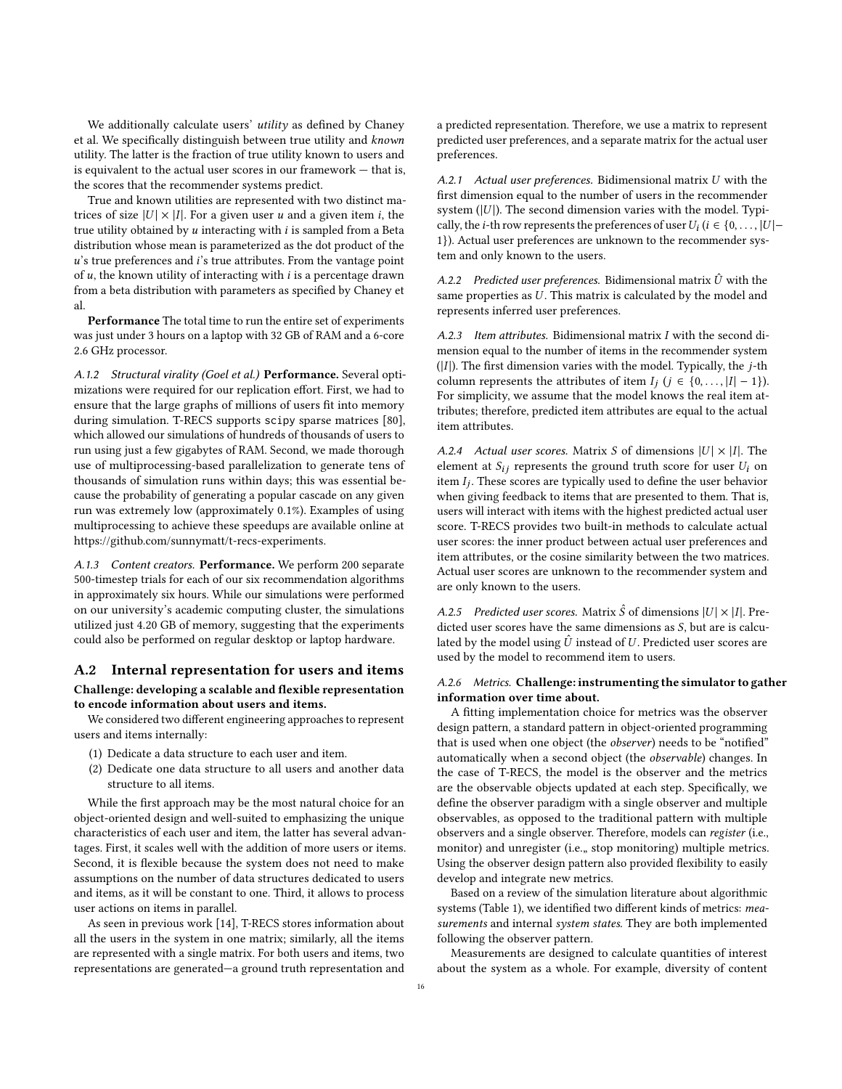We additionally calculate users' *utility* as defined by Chaney et al. We specifically distinguish between true utility and known utility. The latter is the fraction of true utility known to users and is equivalent to the actual user scores in our framework — that is, the scores that the recommender systems predict.

True and known utilities are represented with two distinct matrices of size  $|U| \times |I|$ . For a given user u and a given item i, the true utility obtained by  $u$  interacting with  $i$  is sampled from a Beta distribution whose mean is parameterized as the dot product of the  $u$ 's true preferences and  $i$ 's true attributes. From the vantage point of  $u$ , the known utility of interacting with  $i$  is a percentage drawn from a beta distribution with parameters as specified by Chaney et al.

Performance The total time to run the entire set of experiments was just under 3 hours on a laptop with 32 GB of RAM and a 6-core 2.6 GHz processor.

A.1.2 Structural virality (Goel et al.) Performance. Several optimizations were required for our replication effort. First, we had to ensure that the large graphs of millions of users fit into memory during simulation. T-RECS supports scipy sparse matrices [\[80\]](#page-13-33), which allowed our simulations of hundreds of thousands of users to run using just a few gigabytes of RAM. Second, we made thorough use of multiprocessing-based parallelization to generate tens of thousands of simulation runs within days; this was essential because the probability of generating a popular cascade on any given run was extremely low (approximately 0.1%). Examples of using multiprocessing to achieve these speedups are available online at [https://github.com/sunnymatt/t-recs-experiments.](https://github.com/sunnymatt/t-recs-experiments)

A.1.3 Content creators. Performance. We perform 200 separate 500-timestep trials for each of our six recommendation algorithms in approximately six hours. While our simulations were performed on our university's academic computing cluster, the simulations utilized just 4.20 GB of memory, suggesting that the experiments could also be performed on regular desktop or laptop hardware.

# A.2 Internal representation for users and items Challenge: developing a scalable and flexible representation to encode information about users and items.

We considered two different engineering approaches to represent users and items internally:

- (1) Dedicate a data structure to each user and item.
- (2) Dedicate one data structure to all users and another data structure to all items.

While the first approach may be the most natural choice for an object-oriented design and well-suited to emphasizing the unique characteristics of each user and item, the latter has several advantages. First, it scales well with the addition of more users or items. Second, it is flexible because the system does not need to make assumptions on the number of data structures dedicated to users and items, as it will be constant to one. Third, it allows to process user actions on items in parallel.

As seen in previous work [\[14\]](#page-12-6), T-RECS stores information about all the users in the system in one matrix; similarly, all the items are represented with a single matrix. For both users and items, two representations are generated—a ground truth representation and a predicted representation. Therefore, we use a matrix to represent predicted user preferences, and a separate matrix for the actual user preferences.

A.2.1 Actual user preferences. Bidimensional matrix  $U$  with the first dimension equal to the number of users in the recommender system  $(|U|)$ . The second dimension varies with the model. Typically, the *i*-th row represents the preferences of user  $U_i$  ( $i \in \{0, ..., |U| - \}$ 1}). Actual user preferences are unknown to the recommender system and only known to the users.

A.2.2 Predicted user preferences. Bidimensional matrix  $\hat{U}$  with the same properties as  $U$ . This matrix is calculated by the model and represents inferred user preferences.

A.2.3 Item attributes. Bidimensional matrix  $I$  with the second dimension equal to the number of items in the recommender system ( $|I|$ ). The first dimension varies with the model. Typically, the *j*-th column represents the attributes of item  $I_j$   $(j \in \{0, ..., |I|-1\})$ . For simplicity, we assume that the model knows the real item attributes; therefore, predicted item attributes are equal to the actual item attributes.

A.2.4 Actual user scores. Matrix S of dimensions  $|U| \times |I|$ . The element at  $S_{ij}$  represents the ground truth score for user  $U_i$  on item  $I_j$ . These scores are typically used to define the user behavior when giving feedback to items that are presented to them. That is, users will interact with items with the highest predicted actual user score. T-RECS provides two built-in methods to calculate actual user scores: the inner product between actual user preferences and item attributes, or the cosine similarity between the two matrices. Actual user scores are unknown to the recommender system and are only known to the users.

A.2.5 Predicted user scores. Matrix  $\hat{S}$  of dimensions  $|U| \times |I|$ . Predicted user scores have the same dimensions as  $S$ , but are is calculated by the model using  $\hat{U}$  instead of  $U$ . Predicted user scores are used by the model to recommend item to users.

# A.2.6 Metrics. Challenge: instrumenting the simulator to gather information over time about.

A fitting implementation choice for metrics was the observer design pattern, a standard pattern in object-oriented programming that is used when one object (the observer) needs to be "notified" automatically when a second object (the observable) changes. In the case of T-RECS, the model is the observer and the metrics are the observable objects updated at each step. Specifically, we define the observer paradigm with a single observer and multiple observables, as opposed to the traditional pattern with multiple observers and a single observer. Therefore, models can register (i.e., monitor) and unregister (i.e.,, stop monitoring) multiple metrics. Using the observer design pattern also provided flexibility to easily develop and integrate new metrics.

Based on a review of the simulation literature about algorithmic systems (Table [1\)](#page-3-0), we identified two different kinds of metrics: measurements and internal system states. They are both implemented following the observer pattern.

Measurements are designed to calculate quantities of interest about the system as a whole. For example, diversity of content